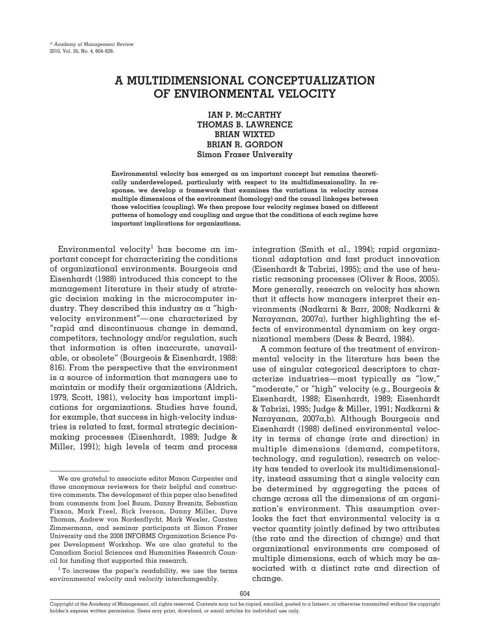# **A MULTIDIMENSIONAL CONCEPTUALIZATION OF ENVIRONMENTAL VELOCITY**

**IAN P. McCARTHY THOMAS B. LAWRENCE BRIAN WIXTED BRIAN R. GORDON Simon Fraser University**

**Environmental velocity has emerged as an important concept but remains theoretically underdeveloped, particularly with respect to its multidimensionality. In response, we develop a framework that examines the variations in velocity across multiple dimensions of the environment (homology) and the causal linkages between those velocities (coupling). We then propose four velocity regimes based on different patterns of homology and coupling and argue that the conditions of each regime have important implications for organizations.**

Environmental velocity<sup>1</sup> has become an important concept for characterizing the conditions of organizational environments. Bourgeois and Eisenhardt (1988) introduced this concept to the management literature in their study of strategic decision making in the microcomputer industry. They described this industry as a "highvelocity environment"—one characterized by "rapid and discontinuous change in demand, competitors, technology and/or regulation, such that information is often inaccurate, unavailable, or obsolete" (Bourgeois & Eisenhardt, 1988: 816). From the perspective that the environment is a source of information that managers use to maintain or modify their organizations (Aldrich, 1979, Scott, 1981), velocity has important implications for organizations. Studies have found, for example, that success in high-velocity industries is related to fast, formal strategic decisionmaking processes (Eisenhardt, 1989; Judge & Miller, 1991); high levels of team and process

integration (Smith et al., 1994); rapid organizational adaptation and fast product innovation (Eisenhardt & Tabrizi, 1995); and the use of heuristic reasoning processes (Oliver & Roos, 2005). More generally, research on velocity has shown that it affects how managers interpret their environments (Nadkarni & Barr, 2008; Nadkarni & Narayanan, 2007a), further highlighting the effects of environmental dynamism on key organizational members (Dess & Beard, 1984).

A common feature of the treatment of environmental velocity in the literature has been the use of singular categorical descriptors to characterize industries—most typically as "low," "moderate," or "high" velocity (e.g., Bourgeois & Eisenhardt, 1988; Eisenhardt, 1989; Eisenhardt & Tabrizi, 1995; Judge & Miller, 1991; Nadkarni & Narayanan, 2007a,b). Although Bourgeois and Eisenhardt (1988) defined environmental velocity in terms of change (rate and direction) in multiple dimensions (demand, competitors, technology, and regulation), research on velocity has tended to overlook its multidimensionality, instead assuming that a single velocity can be determined by aggregating the paces of change across all the dimensions of an organization's environment. This assumption overlooks the fact that environmental velocity is  $\alpha$ vector quantity jointly defined by two attributes (the rate and the direction of change) and that organizational environments are composed of multiple dimensions, each of which may be associated with a distinct rate and direction of change.

We are grateful to associate editor Mason Carpenter and three anonymous reviewers for their helpful and constructive comments. The development of this paper also benefited from comments from Joel Baum, Danny Breznitz, Sebastian Fixson, Mark Freel, Rick Iverson, Danny Miller, Dave Thomas, Andrew von Nordenflycht, Mark Wexler, Carsten Zimmermann, and seminar participants at Simon Fraser University and the 2008 INFORMS Organization Science Paper Development Workshop. We are also grateful to the Canadian Social Sciences and Humanities Research Council for funding that supported this research.

 $1$  To increase the paper's readability, we use the terms *environmental velocity* and *velocity* interchangeably.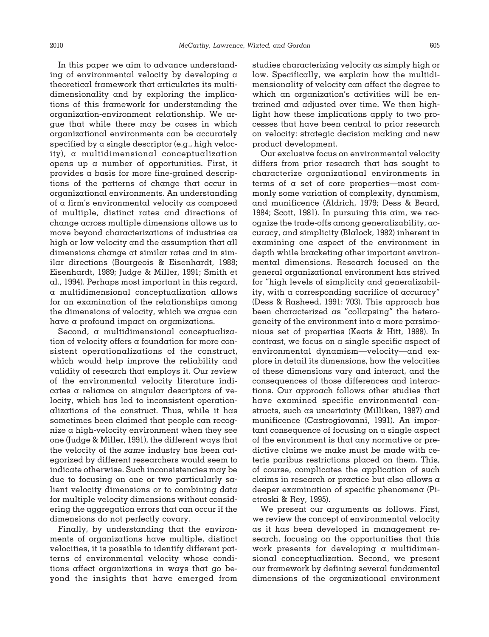In this paper we aim to advance understanding of environmental velocity by developing a theoretical framework that articulates its multidimensionality and by exploring the implications of this framework for understanding the organization-environment relationship. We argue that while there may be cases in which organizational environments can be accurately specified by a single descriptor (e.g., high velocity), a multidimensional conceptualization opens up a number of opportunities. First, it provides a basis for more fine-grained descriptions of the patterns of change that occur in organizational environments. An understanding of a firm's environmental velocity as composed of multiple, distinct rates and directions of change across multiple dimensions allows us to move beyond characterizations of industries as high or low velocity and the assumption that all dimensions change at similar rates and in similar directions (Bourgeois & Eisenhardt, 1988; Eisenhardt, 1989; Judge & Miller, 1991; Smith et al., 1994). Perhaps most important in this regard, a multidimensional conceptualization allows for an examination of the relationships among the dimensions of velocity, which we argue can have a profound impact on organizations.

Second, a multidimensional conceptualization of velocity offers a foundation for more consistent operationalizations of the construct, which would help improve the reliability and validity of research that employs it. Our review of the environmental velocity literature indicates a reliance on singular descriptors of velocity, which has led to inconsistent operationalizations of the construct. Thus, while it has sometimes been claimed that people can recognize a high-velocity environment when they see one (Judge & Miller, 1991), the different ways that the velocity of the *same* industry has been categorized by different researchers would seem to indicate otherwise. Such inconsistencies may be due to focusing on one or two particularly salient velocity dimensions or to combining data for multiple velocity dimensions without considering the aggregation errors that can occur if the dimensions do not perfectly covary.

Finally, by understanding that the environments of organizations have multiple, distinct velocities, it is possible to identify different patterns of environmental velocity whose conditions affect organizations in ways that go beyond the insights that have emerged from studies characterizing velocity as simply high or low. Specifically, we explain how the multidimensionality of velocity can affect the degree to which an organization's activities will be entrained and adjusted over time. We then highlight how these implications apply to two processes that have been central to prior research on velocity: strategic decision making and new product development.

Our exclusive focus on environmental velocity differs from prior research that has sought to characterize organizational environments in terms of a set of core properties—most commonly some variation of complexity, dynamism, and munificence (Aldrich, 1979; Dess & Beard, 1984; Scott, 1981). In pursuing this aim, we recognize the trade-offs among generalizability, accuracy, and simplicity (Blalock, 1982) inherent in examining one aspect of the environment in depth while bracketing other important environmental dimensions. Research focused on the general organizational environment has strived for "high levels of simplicity and generalizability, with a corresponding sacrifice of accuracy" (Dess & Rasheed, 1991: 703). This approach has been characterized as "collapsing" the heterogeneity of the environment into  $\alpha$  more parsimonious set of properties (Keats & Hitt, 1988). In contrast, we focus on a single specific aspect of environmental dynamism—velocity—and explore in detail its dimensions, how the velocities of these dimensions vary and interact, and the consequences of those differences and interactions. Our approach follows other studies that have examined specific environmental constructs, such as uncertainty (Milliken, 1987) and munificence (Castrogiovanni, 1991). An important consequence of focusing on a single aspect of the environment is that any normative or predictive claims we make must be made with ceteris paribus restrictions placed on them. This, of course, complicates the application of such claims in research or practice but also allows a deeper examination of specific phenomena (Pietroski & Rey, 1995).

We present our arguments as follows. First, we review the concept of environmental velocity as it has been developed in management research, focusing on the opportunities that this work presents for developing a multidimensional conceptualization. Second, we present our framework by defining several fundamental dimensions of the organizational environment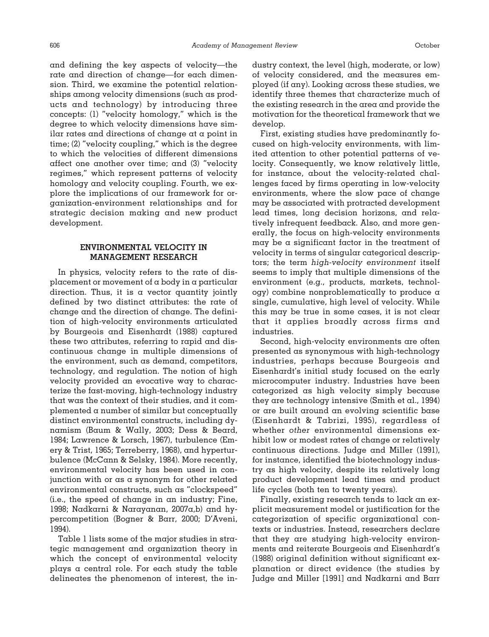and defining the key aspects of velocity—the rate and direction of change—for each dimension. Third, we examine the potential relationships among velocity dimensions (such as products and technology) by introducing three concepts: (1) "velocity homology," which is the degree to which velocity dimensions have similar rates and directions of change at a point in time; (2) "velocity coupling," which is the degree to which the velocities of different dimensions affect one another over time; and (3) "velocity regimes," which represent patterns of velocity homology and velocity coupling. Fourth, we explore the implications of our framework for organization-environment relationships and for strategic decision making and new product development.

# **ENVIRONMENTAL VELOCITY IN MANAGEMENT RESEARCH**

In physics, velocity refers to the rate of displacement or movement of a body in a particular direction. Thus, it is a vector quantity jointly defined by two distinct attributes: the rate of change and the direction of change. The definition of high-velocity environments articulated by Bourgeois and Eisenhardt (1988) captured these two attributes, referring to rapid and discontinuous change in multiple dimensions of the environment, such as demand, competitors, technology, and regulation. The notion of high velocity provided an evocative way to characterize the fast-moving, high-technology industry that was the context of their studies, and it complemented a number of similar but conceptually distinct environmental constructs, including dynamism (Baum & Wally, 2003; Dess & Beard, 1984; Lawrence & Lorsch, 1967), turbulence (Emery & Trist, 1965; Terreberry, 1968), and hyperturbulence (McCann & Selsky, 1984). More recently, environmental velocity has been used in conjunction with or as a synonym for other related environmental constructs, such as "clockspeed" (i.e., the speed of change in an industry; Fine, 1998; Nadkarni & Narayanan, 2007a,b) and hypercompetition (Bogner & Barr, 2000; D'Aveni, 1994).

Table 1 lists some of the major studies in strategic management and organization theory in which the concept of environmental velocity plays a central role. For each study the table delineates the phenomenon of interest, the industry context, the level (high, moderate, or low) of velocity considered, and the measures employed (if any). Looking across these studies, we identify three themes that characterize much of the existing research in the area and provide the motivation for the theoretical framework that we develop.

First, existing studies have predominantly focused on high-velocity environments, with limited attention to other potential patterns of velocity. Consequently, we know relatively little, for instance, about the velocity-related challenges faced by firms operating in low-velocity environments, where the slow pace of change may be associated with protracted development lead times, long decision horizons, and relatively infrequent feedback. Also, and more generally, the focus on high-velocity environments may be a significant factor in the treatment of velocity in terms of singular categorical descriptors; the term *high-velocity environment* itself seems to imply that multiple dimensions of the environment (e.g., products, markets, technology) combine nonproblematically to produce a single, cumulative, high level of velocity. While this may be true in some cases, it is not clear that it applies broadly across firms and industries.

Second, high-velocity environments are often presented as synonymous with high-technology industries, perhaps because Bourgeois and Eisenhardt's initial study focused on the early microcomputer industry. Industries have been categorized as high velocity simply because they are technology intensive (Smith et al., 1994) or are built around an evolving scientific base (Eisenhardt & Tabrizi, 1995), regardless of whether *other* environmental dimensions exhibit low or modest rates of change or relatively continuous directions. Judge and Miller (1991), for instance, identified the biotechnology industry as high velocity, despite its relatively long product development lead times and product life cycles (both ten to twenty years).

Finally, existing research tends to lack an explicit measurement model or justification for the categorization of specific organizational contexts or industries. Instead, researchers declare that they are studying high-velocity environments and reiterate Bourgeois and Eisenhardt's (1988) original definition without significant explanation or direct evidence (the studies by Judge and Miller [1991] and Nadkarni and Barr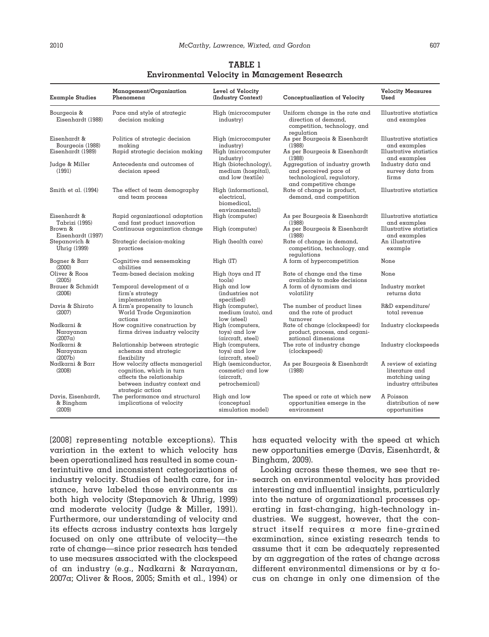| Example Studies                                       | Management/Organization<br>Phenomena                                                                                                        | Level of Velocity<br>(Industry Context)                                       | Conceptualization of Velocity                                                                                             | <b>Velocity Measures</b><br>Used                                                |
|-------------------------------------------------------|---------------------------------------------------------------------------------------------------------------------------------------------|-------------------------------------------------------------------------------|---------------------------------------------------------------------------------------------------------------------------|---------------------------------------------------------------------------------|
| Bourgeois &<br>Eisenhardt (1988)                      | Pace and style of strategic<br>decision making                                                                                              | High (microcomputer<br>industry)                                              | Uniform change in the rate and<br>direction of demand.<br>competition, technology, and<br>regulation                      | Illustrative statistics<br>and examples                                         |
| Eisenhardt &<br>Bourgeois (1988)<br>Eisenhardt (1989) | Politics of strategic decision<br>mαking<br>Rapid strategic decision making                                                                 | High (microcomputer<br>industry)<br>High (microcomputer                       | As per Bourgeois & Eisenhardt<br>(1988)<br>As per Bourgeois & Eisenhardt                                                  | Illustrative statistics<br>and examples<br>Illustrative statistics              |
| Judge & Miller<br>(1991)                              | Antecedents and outcomes of<br>decision speed                                                                                               | industry)<br>High (biotechnology),<br>medium (hospital),<br>and low (textile) | (1988)<br>Aggregation of industry growth<br>and perceived pace of<br>technological, regulatory,<br>and competitive change | and examples<br>Industry data and<br>survey data from<br>firms                  |
| Smith et al. $(1994)$                                 | The effect of team demography<br>and team process                                                                                           | High (informational,<br>electrical.<br>biomedical.<br>environmental)          | Rate of change in product,<br>demand, and competition                                                                     | Illustrative statistics                                                         |
| Eisenhardt &<br>Tabrizi (1995)                        | Rapid organizational adaptation<br>and fast product innovation                                                                              | High (computer)                                                               | As per Bourgeois & Eisenhardt<br>(1988)                                                                                   | Illustrative statistics<br>and examples                                         |
| Brown &<br>Eisenhardt (1997)                          | Continuous organization change                                                                                                              | High (computer)                                                               | As per Bourgeois & Eisenhardt<br>(1988)                                                                                   | Illustrative statistics<br>and examples                                         |
| Stepanovich &<br>Uhrig (1999)                         | Strategic decision-making<br>practices                                                                                                      | High (health care)                                                            | Rate of change in demand,<br>competition, technology, and<br>regulations                                                  | An illustrative<br>example                                                      |
| Bogner & Barr<br>(2000)                               | Cognitive and sensemaking<br>αbilities                                                                                                      | High (IT)                                                                     | A form of hypercompetition                                                                                                | None                                                                            |
| Oliver & Roos<br>(2005)                               | Team-based decision making                                                                                                                  | High (toys and IT<br>tools)                                                   | Rate of change and the time<br>available to make decisions                                                                | None                                                                            |
| <b>Brauer &amp; Schmidt</b><br>(2006)                 | Temporal development of $\alpha$<br>firm's strategy<br>implementation                                                                       | High and low<br>(industries not<br>specified)                                 | A form of dynamism and<br>volatility                                                                                      | Industry market<br>returns data                                                 |
| Davis & Shirato<br>(2007)                             | A firm's propensity to launch<br>World Trade Organization<br>actions                                                                        | High (computer),<br>medium (auto), and<br>low (steel)                         | The number of product lines<br>and the rate of product<br>turnover                                                        | R&D expenditure/<br>total revenue                                               |
| Nadkarni &<br>Narayanan<br>$(2007\alpha)$             | How cognitive construction by<br>firms drives industry velocity                                                                             | High (computers,<br>toys) and low<br>(aircraft, steel)                        | Rate of change (clockspeed) for<br>product, process, and organi-<br>zational dimensions                                   | Industry clockspeeds                                                            |
| Nadkarni &<br>Narayanan<br>(2007b)                    | Relationship between strategic<br>schemas and strategic<br>flexibility                                                                      | High (computers,<br>toys) and low<br>(aircraft, steel)                        | The rate of industry change<br>(clockspeed)                                                                               | Industry clockspeeds                                                            |
| Nadkarni & Barr<br>(2008)                             | How velocity affects managerial<br>cognition, which in turn<br>affects the relationship<br>between industry context and<br>strategic action | High (semiconductor,<br>cosmetic) and low<br>(aircraft,<br>petrochemical)     | As per Bourgeois & Eisenhardt<br>(1988)                                                                                   | A review of existing<br>literature and<br>matching using<br>industry attributes |
| Davis, Eisenhardt,<br>& Bingham<br>(2009)             | The performance and structural<br>implications of velocity                                                                                  | High and low<br>(conceptual<br>simulation model)                              | The speed or rate at which new<br>opportunities emerge in the<br>environment                                              | A Poisson<br>distribution of new<br>opportunities                               |

**TABLE 1 Environmental Velocity in Management Research**

[2008] representing notable exceptions). This variation in the extent to which velocity has been operationalized has resulted in some counterintuitive and inconsistent categorizations of industry velocity. Studies of health care, for instance, have labeled those environments as both high velocity (Stepanovich & Uhrig, 1999) and moderate velocity (Judge & Miller, 1991). Furthermore, our understanding of velocity and its effects across industry contexts has largely focused on only one attribute of velocity—the rate of change—since prior research has tended to use measures associated with the clockspeed of an industry (e.g., Nadkarni & Narayanan, 2007a; Oliver & Roos, 2005; Smith et al., 1994) or has equated velocity with the speed at which new opportunities emerge (Davis, Eisenhardt, & Bingham, 2009).

Looking across these themes, we see that research on environmental velocity has provided interesting and influential insights, particularly into the nature of organizational processes operating in fast-changing, high-technology industries. We suggest, however, that the construct itself requires a more fine-grained examination, since existing research tends to assume that it can be adequately represented by an aggregation of the rates of change across different environmental dimensions or by a focus on change in only one dimension of the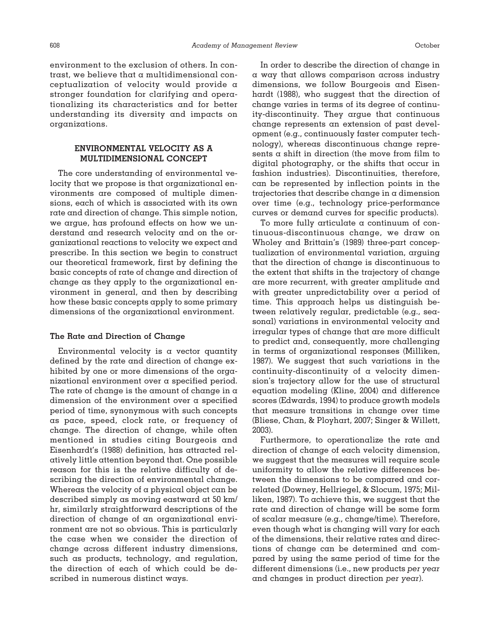environment to the exclusion of others. In contrast, we believe that a multidimensional conceptualization of velocity would provide a stronger foundation for clarifying and operationalizing its characteristics and for better understanding its diversity and impacts on organizations.

# **ENVIRONMENTAL VELOCITY AS A MULTIDIMENSIONAL CONCEPT**

The core understanding of environmental velocity that we propose is that organizational environments are composed of multiple dimensions, each of which is associated with its own rate and direction of change. This simple notion, we argue, has profound effects on how we understand and research velocity and on the organizational reactions to velocity we expect and prescribe. In this section we begin to construct our theoretical framework, first by defining the basic concepts of rate of change and direction of change as they apply to the organizational environment in general, and then by describing how these basic concepts apply to some primary dimensions of the organizational environment.

### **The Rate and Direction of Change**

Environmental velocity is a vector quantity defined by the rate and direction of change exhibited by one or more dimensions of the organizational environment over a specified period. The rate of change is the amount of change in  $\alpha$ dimension of the environment over a specified period of time, synonymous with such concepts as pace, speed, clock rate, or frequency of change. The direction of change, while often mentioned in studies citing Bourgeois and Eisenhardt's (1988) definition, has attracted relatively little attention beyond that. One possible reason for this is the relative difficulty of describing the direction of environmental change. Whereas the velocity of a physical object can be described simply as moving eastward at 50 km/ hr, similarly straightforward descriptions of the direction of change of an organizational environment are not so obvious. This is particularly the case when we consider the direction of change across different industry dimensions, such as products, technology, and regulation, the direction of each of which could be described in numerous distinct ways.

In order to describe the direction of change in a way that allows comparison across industry dimensions, we follow Bourgeois and Eisenhardt (1988), who suggest that the direction of change varies in terms of its degree of continuity-discontinuity. They argue that continuous change represents an extension of past development (e.g., continuously faster computer technology), whereas discontinuous change represents  $\alpha$  shift in direction (the move from film to digital photography, or the shifts that occur in fashion industries). Discontinuities, therefore, can be represented by inflection points in the trajectories that describe change in a dimension over time (e.g., technology price-performance curves or demand curves for specific products).

To more fully articulate a continuum of continuous-discontinuous change, we draw on Wholey and Brittain's (1989) three-part conceptualization of environmental variation, arguing that the direction of change is discontinuous to the extent that shifts in the trajectory of change are more recurrent, with greater amplitude and with greater unpredictability over a period of time. This approach helps us distinguish between relatively regular, predictable (e.g., seasonal) variations in environmental velocity and irregular types of change that are more difficult to predict and, consequently, more challenging in terms of organizational responses (Milliken, 1987). We suggest that such variations in the continuity-discontinuity of a velocity dimension's trajectory allow for the use of structural equation modeling (Kline, 2004) and difference scores (Edwards, 1994) to produce growth models that measure transitions in change over time (Bliese, Chan, & Ployhart, 2007; Singer & Willett, 2003).

Furthermore, to operationalize the rate and direction of change of each velocity dimension, we suggest that the measures will require scale uniformity to allow the relative differences between the dimensions to be compared and correlated (Downey, Hellriegel, & Slocum, 1975; Milliken, 1987). To achieve this, we suggest that the rate and direction of change will be some form of scalar measure (e.g., change/time). Therefore, even though what is changing will vary for each of the dimensions, their relative rates and directions of change can be determined and compared by using the same period of time for the different dimensions (i.e., new products *per year* and changes in product direction *per year*).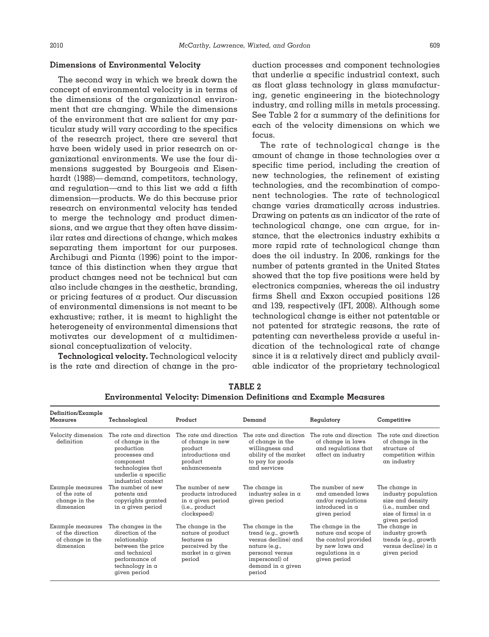#### **Dimensions of Environmental Velocity**

The second way in which we break down the concept of environmental velocity is in terms of the dimensions of the organizational environment that are changing. While the dimensions of the environment that are salient for any particular study will vary according to the specifics of the research project, there are several that have been widely used in prior research on organizational environments. We use the four dimensions suggested by Bourgeois and Eisenhardt (1988)—demand, competitors, technology, and regulation—and to this list we add a fifth dimension—products. We do this because prior research on environmental velocity has tended to merge the technology and product dimensions, and we argue that they often have dissimilar rates and directions of change, which makes separating them important for our purposes. Archibugi and Pianta (1996) point to the importance of this distinction when they argue that product changes need not be technical but can also include changes in the aesthetic, branding, or pricing features of a product. Our discussion of environmental dimensions is not meant to be exhaustive; rather, it is meant to highlight the heterogeneity of environmental dimensions that motivates our development of a multidimensional conceptualization of velocity.

**Technological velocity.** Technological velocity is the rate and direction of change in the production processes and component technologies that underlie a specific industrial context, such as float glass technology in glass manufacturing, genetic engineering in the biotechnology industry, and rolling mills in metals processing. See Table 2 for a summary of the definitions for each of the velocity dimensions on which we focus.

The rate of technological change is the amount of change in those technologies over a specific time period, including the creation of new technologies, the refinement of existing technologies, and the recombination of component technologies. The rate of technological change varies dramatically across industries. Drawing on patents as an indicator of the rate of technological change, one can argue, for instance, that the electronics industry exhibits  $\alpha$ more rapid rate of technological change than does the oil industry. In 2006, rankings for the number of patents granted in the United States showed that the top five positions were held by electronics companies, whereas the oil industry firms Shell and Exxon occupied positions 126 and 139, respectively (IFI, 2008). Although some technological change is either not patentable or not patented for strategic reasons, the rate of patenting can nevertheless provide a useful indication of the technological rate of change since it is a relatively direct and publicly available indicator of the proprietary technological

| Definition/Example                                                    |                                                                                                                                                                 |                                                                                                          |                                                                                                                                                      |                                                                                                                                |                                                                                                                             |  |  |
|-----------------------------------------------------------------------|-----------------------------------------------------------------------------------------------------------------------------------------------------------------|----------------------------------------------------------------------------------------------------------|------------------------------------------------------------------------------------------------------------------------------------------------------|--------------------------------------------------------------------------------------------------------------------------------|-----------------------------------------------------------------------------------------------------------------------------|--|--|
| Measures                                                              | Technological                                                                                                                                                   | Product                                                                                                  | Demand                                                                                                                                               | Regulatory                                                                                                                     | Competitive                                                                                                                 |  |  |
| Velocity dimension<br>definition                                      | The rate and direction<br>of change in the<br>production<br>processes and<br>component<br>technologies that<br>underlie $\alpha$ specific<br>industrial context | The rate and direction<br>of change in new<br>product<br>introductions and<br>product<br>enhancements    | The rate and direction<br>of change in the<br>willingness and<br>ability of the market<br>to pay for goods<br>and services                           | The rate and direction<br>of change in laws<br>and regulations that<br>affect an industry                                      | The rate and direction<br>of change in the<br>structure of<br>competition within<br>an industry                             |  |  |
| Example measures<br>of the rate of<br>change in the<br>dimension      | The number of new<br>patents and<br>copyrights granted<br>in a given period                                                                                     | The number of new<br>products introduced<br>in $\alpha$ given period<br>(i.e., product<br>clockspeed)    | The change in<br>industry sales in $\alpha$<br>given period                                                                                          | The number of new<br>and amended laws<br>and/or regulations<br>introduced in a<br>given period                                 | The change in<br>industry population<br>size and density<br>(i.e., number and<br>size of firms) in $\alpha$<br>given period |  |  |
| Example measures<br>of the direction<br>of change in the<br>dimension | The changes in the<br>direction of the<br>relationship<br>between the price<br>and technical<br>performance of<br>technology in $\alpha$<br>given period        | The change in the<br>nature of product<br>features as<br>perceived by the<br>market in a given<br>period | The change in the<br>trend (e.g., growth<br>versus decline) and<br>nature (e.g.,<br>personal versus<br>impersonal) of<br>demand in a given<br>period | The change in the<br>nature and scope of<br>the control provided<br>by new laws and<br>regulations in $\alpha$<br>given period | The change in<br>industry growth<br>trends (e.g., growth<br>versus decline) in $\alpha$<br>given period                     |  |  |

**TABLE 2 Environmental Velocity: Dimension Definitions and Example Measures**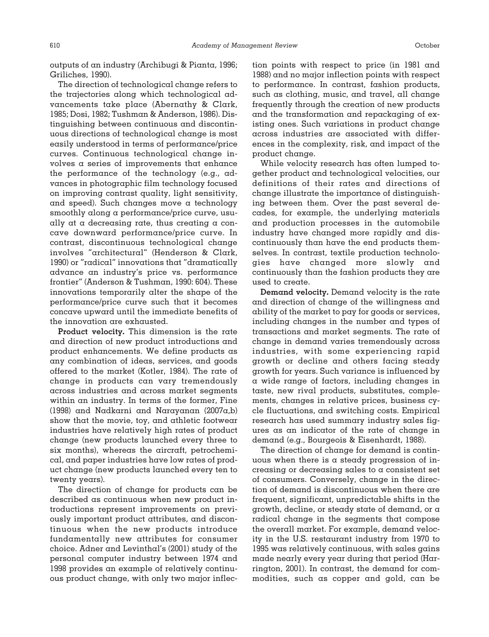outputs of an industry (Archibugi & Pianta, 1996; Griliches, 1990).

The direction of technological change refers to the trajectories along which technological advancements take place (Abernathy & Clark, 1985; Dosi, 1982; Tushman & Anderson, 1986). Distinguishing between continuous and discontinuous directions of technological change is most easily understood in terms of performance/price curves. Continuous technological change involves a series of improvements that enhance the performance of the technology (e.g., advances in photographic film technology focused on improving contrast quality, light sensitivity, and speed). Such changes move a technology smoothly along a performance/price curve, usually at a decreasing rate, thus creating a concave downward performance/price curve. In contrast, discontinuous technological change involves "architectural" (Henderson & Clark, 1990) or "radical" innovations that "dramatically advance an industry's price vs. performance frontier" (Anderson & Tushman, 1990: 604). These innovations temporarily alter the shape of the performance/price curve such that it becomes concave upward until the immediate benefits of the innovation are exhausted.

**Product velocity.** This dimension is the rate and direction of new product introductions and product enhancements. We define products as any combination of ideas, services, and goods offered to the market (Kotler, 1984). The rate of change in products can vary tremendously across industries and across market segments within an industry. In terms of the former, Fine (1998) and Nadkarni and Narayanan (2007a,b) show that the movie, toy, and athletic footwear industries have relatively high rates of product change (new products launched every three to six months), whereas the aircraft, petrochemical, and paper industries have low rates of product change (new products launched every ten to twenty years).

The direction of change for products can be described as continuous when new product introductions represent improvements on previously important product attributes, and discontinuous when the new products introduce fundamentally new attributes for consumer choice. Adner and Levinthal's (2001) study of the personal computer industry between 1974 and 1998 provides an example of relatively continuous product change, with only two major inflection points with respect to price (in 1981 and 1988) and no major inflection points with respect to performance. In contrast, fashion products, such as clothing, music, and travel, all change frequently through the creation of new products and the transformation and repackaging of existing ones. Such variations in product change across industries are associated with differences in the complexity, risk, and impact of the product change.

While velocity research has often lumped together product and technological velocities, our definitions of their rates and directions of change illustrate the importance of distinguishing between them. Over the past several decades, for example, the underlying materials and production processes in the automobile industry have changed more rapidly and discontinuously than have the end products themselves. In contrast, textile production technologies have changed more slowly and continuously than the fashion products they are used to create.

**Demand velocity.** Demand velocity is the rate and direction of change of the willingness and ability of the market to pay for goods or services, including changes in the number and types of transactions and market segments. The rate of change in demand varies tremendously across industries, with some experiencing rapid growth or decline and others facing steady growth for years. Such variance is influenced by a wide range of factors, including changes in taste, new rival products, substitutes, complements, changes in relative prices, business cycle fluctuations, and switching costs. Empirical research has used summary industry sales figures as an indicator of the rate of change in demand (e.g., Bourgeois & Eisenhardt, 1988).

The direction of change for demand is continuous when there is  $\alpha$  steady progression of increasing or decreasing sales to a consistent set of consumers. Conversely, change in the direction of demand is discontinuous when there are frequent, significant, unpredictable shifts in the growth, decline, or steady state of demand, or a radical change in the segments that compose the overall market. For example, demand velocity in the U.S. restaurant industry from 1970 to 1995 was relatively continuous, with sales gains made nearly every year during that period (Harrington, 2001). In contrast, the demand for commodities, such as copper and gold, can be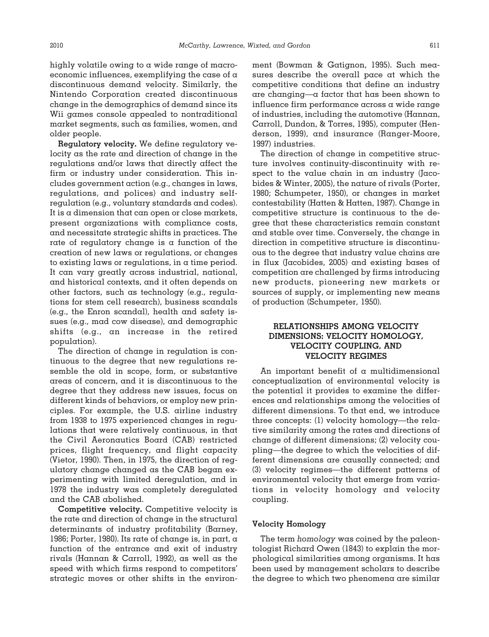highly volatile owing to a wide range of macroeconomic influences, exemplifying the case of a discontinuous demand velocity. Similarly, the Nintendo Corporation created discontinuous change in the demographics of demand since its Wii games console appealed to nontraditional market segments, such as families, women, and older people.

**Regulatory velocity.** We define regulatory velocity as the rate and direction of change in the regulations and/or laws that directly affect the firm or industry under consideration. This includes government action (e.g., changes in laws, regulations, and polices) and industry selfregulation (e.g., voluntary standards and codes). It is a dimension that can open or close markets, present organizations with compliance costs, and necessitate strategic shifts in practices. The rate of regulatory change is a function of the creation of new laws or regulations, or changes to existing laws or regulations, in a time period. It can vary greatly across industrial, national, and historical contexts, and it often depends on other factors, such as technology (e.g., regulations for stem cell research), business scandals (e.g., the Enron scandal), health and safety issues (e.g., mad cow disease), and demographic shifts (e.g., an increase in the retired population).

The direction of change in regulation is continuous to the degree that new regulations resemble the old in scope, form, or substantive areas of concern, and it is discontinuous to the degree that they address new issues, focus on different kinds of behaviors, or employ new principles. For example, the U.S. airline industry from 1938 to 1975 experienced changes in regulations that were relatively continuous, in that the Civil Aeronautics Board (CAB) restricted prices, flight frequency, and flight capacity (Vietor, 1990). Then, in 1975, the direction of regulatory change changed as the CAB began experimenting with limited deregulation, and in 1978 the industry was completely deregulated and the CAB abolished.

**Competitive velocity.** Competitive velocity is the rate and direction of change in the structural determinants of industry profitability (Barney, 1986; Porter, 1980). Its rate of change is, in part, a function of the entrance and exit of industry rivals (Hannan & Carroll, 1992), as well as the speed with which firms respond to competitors' strategic moves or other shifts in the environment (Bowman & Gatignon, 1995). Such measures describe the overall pace at which the competitive conditions that define an industry are changing—a factor that has been shown to influence firm performance across a wide range of industries, including the automotive (Hannan, Carroll, Dundon, & Torres, 1995), computer (Henderson, 1999), and insurance (Ranger-Moore, 1997) industries.

The direction of change in competitive structure involves continuity-discontinuity with respect to the value chain in an industry (Jacobides & Winter, 2005), the nature of rivals (Porter, 1980; Schumpeter, 1950), or changes in market contestability (Hatten & Hatten, 1987). Change in competitive structure is continuous to the degree that these characteristics remain constant and stable over time. Conversely, the change in direction in competitive structure is discontinuous to the degree that industry value chains are in flux (Jacobides, 2005) and existing bases of competition are challenged by firms introducing new products, pioneering new markets or sources of supply, or implementing new means of production (Schumpeter, 1950).

# **RELATIONSHIPS AMONG VELOCITY DIMENSIONS: VELOCITY HOMOLOGY, VELOCITY COUPLING, AND VELOCITY REGIMES**

An important benefit of a multidimensional conceptualization of environmental velocity is the potential it provides to examine the differences and relationships among the velocities of different dimensions. To that end, we introduce three concepts: (1) velocity homology—the relative similarity among the rates and directions of change of different dimensions; (2) velocity coupling—the degree to which the velocities of different dimensions are causally connected; and (3) velocity regimes—the different patterns of environmental velocity that emerge from variations in velocity homology and velocity coupling.

#### **Velocity Homology**

The term *homology* was coined by the paleontologist Richard Owen (1843) to explain the morphological similarities among organisms. It has been used by management scholars to describe the degree to which two phenomena are similar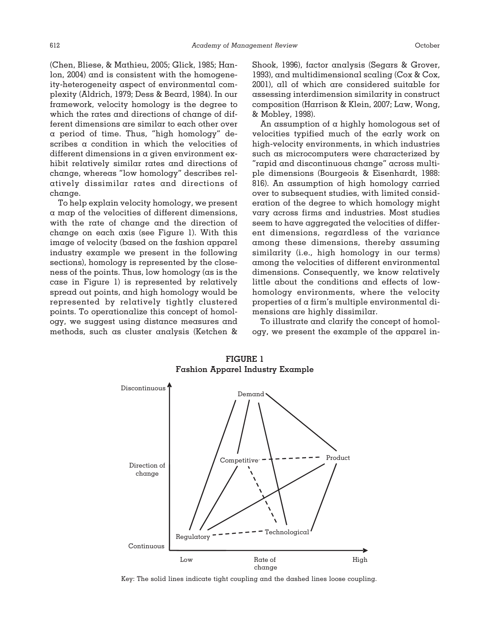(Chen, Bliese, & Mathieu, 2005; Glick, 1985; Hanlon, 2004) and is consistent with the homogeneity-heterogeneity aspect of environmental complexity (Aldrich, 1979; Dess & Beard, 1984). In our framework, velocity homology is the degree to which the rates and directions of change of different dimensions are similar to each other over a period of time. Thus, "high homology" describes a condition in which the velocities of different dimensions in a given environment exhibit relatively similar rates and directions of change, whereas "low homology" describes relatively dissimilar rates and directions of change.

To help explain velocity homology, we present a map of the velocities of different dimensions, with the rate of change and the direction of change on each axis (see Figure 1). With this image of velocity (based on the fashion apparel industry example we present in the following sections), homology is represented by the closeness of the points. Thus, low homology (as is the case in Figure 1) is represented by relatively spread out points, and high homology would be represented by relatively tightly clustered points. To operationalize this concept of homology, we suggest using distance measures and methods, such as cluster analysis (Ketchen & Shook, 1996), factor analysis (Segars & Grover, 1993), and multidimensional scaling (Cox & Cox, 2001), all of which are considered suitable for assessing interdimension similarity in construct composition (Harrison & Klein, 2007; Law, Wong, & Mobley, 1998).

An assumption of a highly homologous set of velocities typified much of the early work on high-velocity environments, in which industries such as microcomputers were characterized by "rapid and discontinuous change" across multiple dimensions (Bourgeois & Eisenhardt, 1988: 816). An assumption of high homology carried over to subsequent studies, with limited consideration of the degree to which homology might vary across firms and industries. Most studies seem to have aggregated the velocities of different dimensions, regardless of the variance among these dimensions, thereby assuming similarity (i.e., high homology in our terms) among the velocities of different environmental dimensions. Consequently, we know relatively little about the conditions and effects of lowhomology environments, where the velocity properties of a firm's multiple environmental dimensions are highly dissimilar.

To illustrate and clarify the concept of homology, we present the example of the apparel in-



**FIGURE 1 Fashion Apparel Industry Example**

Key: The solid lines indicate tight coupling and the dashed lines loose coupling.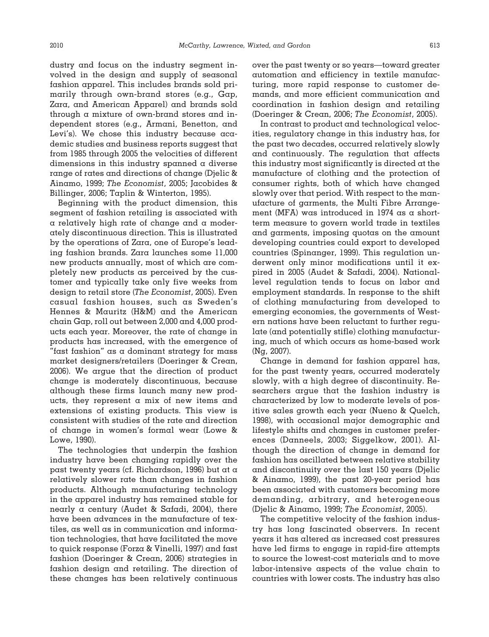dustry and focus on the industry segment involved in the design and supply of seasonal fashion apparel. This includes brands sold primarily through own-brand stores (e.g., Gap, Zara, and American Apparel) and brands sold through a mixture of own-brand stores and independent stores (e.g., Armani, Benetton, and Levi's). We chose this industry because academic studies and business reports suggest that from 1985 through 2005 the velocities of different dimensions in this industry spanned  $\alpha$  diverse range of rates and directions of change (Djelic & Ainamo, 1999; *The Economist*, 2005; Jacobides & Billinger, 2006; Taplin & Winterton, 1995).

Beginning with the product dimension, this segment of fashion retailing is associated with a relatively high rate of change and a moderately discontinuous direction. This is illustrated by the operations of Zara, one of Europe's leading fashion brands. Zara launches some 11,000 new products annually, most of which are completely new products as perceived by the customer and typically take only five weeks from design to retail store (*The Economist*, 2005). Even casual fashion houses, such as Sweden's Hennes & Mauritz (H&M) and the American chain Gap, roll out between 2,000 and 4,000 products each year. Moreover, the rate of change in products has increased, with the emergence of "fast fashion" as a dominant strategy for mass market designers/retailers (Doeringer & Crean, 2006). We argue that the direction of product change is moderately discontinuous, because although these firms launch many new products, they represent a mix of new items and extensions of existing products. This view is consistent with studies of the rate and direction of change in women's formal wear (Lowe & Lowe, 1990).

The technologies that underpin the fashion industry have been changing rapidly over the past twenty years (cf. Richardson, 1996) but at a relatively slower rate than changes in fashion products. Although manufacturing technology in the apparel industry has remained stable for nearly a century (Audet & Safadi, 2004), there have been advances in the manufacture of textiles, as well as in communication and information technologies, that have facilitated the move to quick response (Forza & Vinelli, 1997) and fast fashion (Doeringer & Crean, 2006) strategies in fashion design and retailing. The direction of these changes has been relatively continuous over the past twenty or so years—toward greater automation and efficiency in textile manufacturing, more rapid response to customer demands, and more efficient communication and coordination in fashion design and retailing (Doeringer & Crean, 2006; *The Economist*, 2005).

In contrast to product and technological velocities, regulatory change in this industry has, for the past two decades, occurred relatively slowly and continuously. The regulation that affects this industry most significantly is directed at the manufacture of clothing and the protection of consumer rights, both of which have changed slowly over that period. With respect to the manufacture of garments, the Multi Fibre Arrangement (MFA) was introduced in 1974 as a shortterm measure to govern world trade in textiles and garments, imposing quotas on the amount developing countries could export to developed countries (Spinanger, 1999). This regulation underwent only minor modifications until it expired in 2005 (Audet & Safadi, 2004). Nationallevel regulation tends to focus on labor and employment standards. In response to the shift of clothing manufacturing from developed to emerging economies, the governments of Western nations have been reluctant to further regulate (and potentially stifle) clothing manufacturing, much of which occurs as home-based work (Ng, 2007).

Change in demand for fashion apparel has, for the past twenty years, occurred moderately slowly, with a high degree of discontinuity. Researchers argue that the fashion industry is characterized by low to moderate levels of positive sales growth each year (Nueno & Quelch, 1998), with occasional major demographic and lifestyle shifts and changes in customer preferences (Danneels, 2003; Siggelkow, 2001). Although the direction of change in demand for fashion has oscillated between relative stability and discontinuity over the last 150 years (Djelic & Ainamo, 1999), the past 20-year period has been associated with customers becoming more demanding, arbitrary, and heterogeneous (Djelic & Ainamo, 1999; *The Economist*, 2005).

The competitive velocity of the fashion industry has long fascinated observers. In recent years it has altered as increased cost pressures have led firms to engage in rapid-fire attempts to source the lowest-cost materials and to move labor-intensive aspects of the value chain to countries with lower costs. The industry has also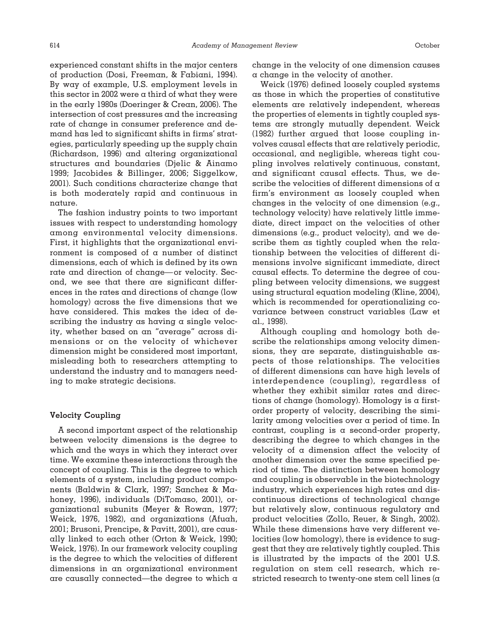experienced constant shifts in the major centers of production (Dosi, Freeman, & Fabiani, 1994). By way of example, U.S. employment levels in this sector in 2002 were a third of what they were in the early 1980s (Doeringer & Crean, 2006). The intersection of cost pressures and the increasing rate of change in consumer preference and demand has led to significant shifts in firms' strategies, particularly speeding up the supply chain (Richardson, 1996) and altering organizational structures and boundaries (Djelic & Ainamo 1999; Jacobides & Billinger, 2006; Siggelkow, 2001). Such conditions characterize change that is both moderately rapid and continuous in nature.

The fashion industry points to two important issues with respect to understanding homology among environmental velocity dimensions. First, it highlights that the organizational environment is composed of a number of distinct dimensions, each of which is defined by its own rate and direction of change—or velocity. Second, we see that there are significant differences in the rates and directions of change (low homology) across the five dimensions that we have considered. This makes the idea of describing the industry as having a single velocity, whether based on an "average" across dimensions or on the velocity of whichever dimension might be considered most important, misleading both to researchers attempting to understand the industry and to managers needing to make strategic decisions.

#### **Velocity Coupling**

A second important aspect of the relationship between velocity dimensions is the degree to which and the ways in which they interact over time. We examine these interactions through the concept of coupling. This is the degree to which elements of a system, including product components (Baldwin & Clark, 1997; Sanchez & Mahoney, 1996), individuals (DiTomaso, 2001), organizational subunits (Meyer & Rowan, 1977; Weick, 1976, 1982), and organizations (Afuah, 2001; Brusoni, Prencipe, & Pavitt, 2001), are causally linked to each other (Orton & Weick, 1990; Weick, 1976). In our framework velocity coupling is the degree to which the velocities of different dimensions in an organizational environment are causally connected—the degree to which a change in the velocity of one dimension causes a change in the velocity of another.

Weick (1976) defined loosely coupled systems as those in which the properties of constitutive elements are relatively independent, whereas the properties of elements in tightly coupled systems are strongly mutually dependent. Weick (1982) further argued that loose coupling involves causal effects that are relatively periodic, occasional, and negligible, whereas tight coupling involves relatively continuous, constant, and significant causal effects. Thus, we describe the velocities of different dimensions of a firm's environment as loosely coupled when changes in the velocity of one dimension (e.g., technology velocity) have relatively little immediate, direct impact on the velocities of other dimensions (e.g., product velocity), and we describe them as tightly coupled when the relationship between the velocities of different dimensions involve significant immediate, direct causal effects. To determine the degree of coupling between velocity dimensions, we suggest using structural equation modeling (Kline, 2004), which is recommended for operationalizing covariance between construct variables (Law et al., 1998).

Although coupling and homology both describe the relationships among velocity dimensions, they are separate, distinguishable aspects of those relationships. The velocities of different dimensions can have high levels of interdependence (coupling), regardless of whether they exhibit similar rates and directions of change (homology). Homology is a firstorder property of velocity, describing the similarity among velocities over a period of time. In contrast, coupling is a second-order property, describing the degree to which changes in the velocity of a dimension affect the velocity of another dimension over the same specified period of time. The distinction between homology and coupling is observable in the biotechnology industry, which experiences high rates and discontinuous directions of technological change but relatively slow, continuous regulatory and product velocities (Zollo, Reuer, & Singh, 2002). While these dimensions have very different velocities (low homology), there is evidence to suggest that they are relatively tightly coupled. This is illustrated by the impacts of the 2001 U.S. regulation on stem cell research, which restricted research to twenty-one stem cell lines (a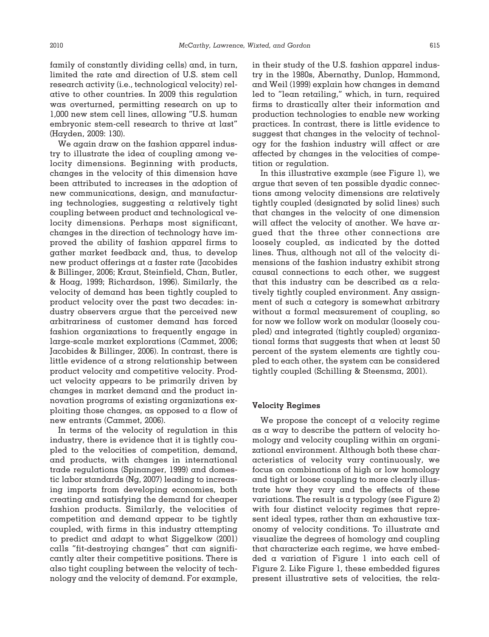family of constantly dividing cells) and, in turn, limited the rate and direction of U.S. stem cell research activity (i.e., technological velocity) relative to other countries. In 2009 this regulation was overturned, permitting research on up to 1,000 new stem cell lines, allowing "U.S. human embryonic stem-cell research to thrive at last" (Hayden, 2009: 130).

We again draw on the fashion apparel industry to illustrate the idea of coupling among velocity dimensions. Beginning with products, changes in the velocity of this dimension have been attributed to increases in the adoption of new communications, design, and manufacturing technologies, suggesting a relatively tight coupling between product and technological velocity dimensions. Perhaps most significant, changes in the direction of technology have improved the ability of fashion apparel firms to gather market feedback and, thus, to develop new product offerings at a faster rate (Jacobides & Billinger, 2006; Kraut, Steinfield, Chan, Butler, & Hoag, 1999; Richardson, 1996). Similarly, the velocity of demand has been tightly coupled to product velocity over the past two decades: industry observers argue that the perceived new arbitrariness of customer demand has forced fashion organizations to frequently engage in large-scale market explorations (Cammet, 2006; Jacobides & Billinger, 2006). In contrast, there is little evidence of a strong relationship between product velocity and competitive velocity. Product velocity appears to be primarily driven by changes in market demand and the product innovation programs of existing organizations exploiting those changes, as opposed to a flow of new entrants (Cammet, 2006).

In terms of the velocity of regulation in this industry, there is evidence that it is tightly coupled to the velocities of competition, demand, and products, with changes in international trade regulations (Spinanger, 1999) and domestic labor standards (Ng, 2007) leading to increasing imports from developing economies, both creating and satisfying the demand for cheaper fashion products. Similarly, the velocities of competition and demand appear to be tightly coupled, with firms in this industry attempting to predict and adapt to what Siggelkow (2001) calls "fit-destroying changes" that can significantly alter their competitive positions. There is also tight coupling between the velocity of technology and the velocity of demand. For example, in their study of the U.S. fashion apparel industry in the 1980s, Abernathy, Dunlop, Hammond, and Weil (1999) explain how changes in demand led to "lean retailing," which, in turn, required firms to drastically alter their information and production technologies to enable new working practices. In contrast, there is little evidence to suggest that changes in the velocity of technology for the fashion industry will affect or are affected by changes in the velocities of competition or regulation.

In this illustrative example (see Figure 1), we argue that seven of ten possible dyadic connections among velocity dimensions are relatively tightly coupled (designated by solid lines) such that changes in the velocity of one dimension will affect the velocity of another. We have argued that the three other connections are loosely coupled, as indicated by the dotted lines. Thus, although not all of the velocity dimensions of the fashion industry exhibit strong causal connections to each other, we suggest that this industry can be described as a relatively tightly coupled environment. Any assignment of such a category is somewhat arbitrary without a formal measurement of coupling, so for now we follow work on modular (loosely coupled) and integrated (tightly coupled) organizational forms that suggests that when at least 50 percent of the system elements are tightly coupled to each other, the system can be considered tightly coupled (Schilling & Steensma, 2001).

### **Velocity Regimes**

We propose the concept of  $\alpha$  velocity regime as a way to describe the pattern of velocity homology and velocity coupling within an organizational environment. Although both these characteristics of velocity vary continuously, we focus on combinations of high or low homology and tight or loose coupling to more clearly illustrate how they vary and the effects of these variations. The result is a typology (see Figure 2) with four distinct velocity regimes that represent ideal types, rather than an exhaustive taxonomy of velocity conditions. To illustrate and visualize the degrees of homology and coupling that characterize each regime, we have embedded a variation of Figure 1 into each cell of Figure 2. Like Figure 1, these embedded figures present illustrative sets of velocities, the rela-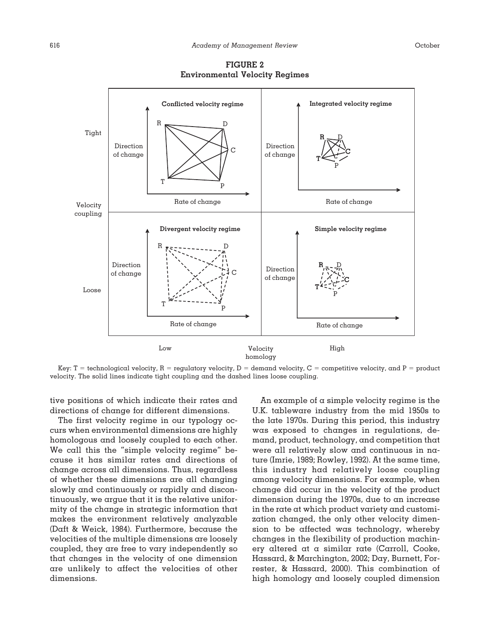

**FIGURE 2 Environmental Velocity Regimes**

Key: T = technological velocity, R = regulatory velocity, D = demand velocity, C = competitive velocity, and P = product velocity. The solid lines indicate tight coupling and the dashed lines loose coupling.

tive positions of which indicate their rates and directions of change for different dimensions.

The first velocity regime in our typology occurs when environmental dimensions are highly homologous and loosely coupled to each other. We call this the "simple velocity regime" because it has similar rates and directions of change across all dimensions. Thus, regardless of whether these dimensions are all changing slowly and continuously or rapidly and discontinuously, we argue that it is the relative uniformity of the change in strategic information that makes the environment relatively analyzable (Daft & Weick, 1984). Furthermore, because the velocities of the multiple dimensions are loosely coupled, they are free to vary independently so that changes in the velocity of one dimension are unlikely to affect the velocities of other dimensions.

An example of a simple velocity regime is the U.K. tableware industry from the mid 1950s to the late 1970s. During this period, this industry was exposed to changes in regulations, demand, product, technology, and competition that were all relatively slow and continuous in nature (Imrie, 1989; Rowley, 1992). At the same time, this industry had relatively loose coupling among velocity dimensions. For example, when change did occur in the velocity of the product dimension during the 1970s, due to an increase in the rate at which product variety and customization changed, the only other velocity dimension to be affected was technology, whereby changes in the flexibility of production machinery altered at a similar rate (Carroll, Cooke, Hassard, & Marchington, 2002; Day, Burnett, Forrester, & Hassard, 2000). This combination of high homology and loosely coupled dimension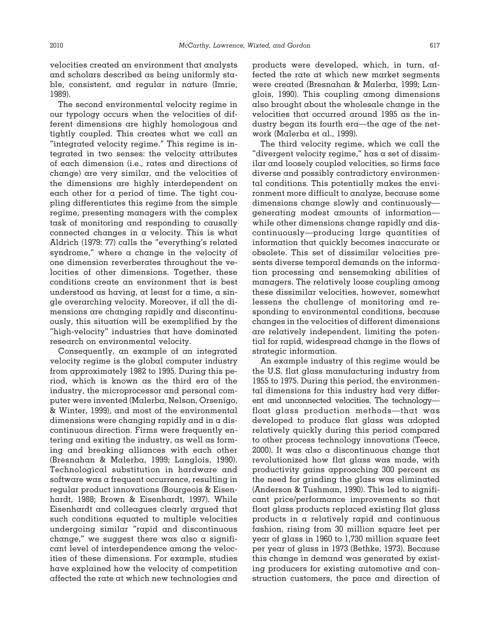velocities created an environment that analysts and scholars described as being uniformly stable, consistent, and regular in nature (Imrie, 1989).

The second environmental velocity regime in our typology occurs when the velocities of different dimensions are highly homologous and tightly coupled. This creates what we call an "integrated velocity regime." This regime is integrated in two senses: the velocity attributes of each dimension (i.e., rates and directions of change) are very similar, and the velocities of the dimensions are highly interdependent on each other for a period of time. The tight coupling differentiates this regime from the simple regime, presenting managers with the complex task of monitoring and responding to causally connected changes in a velocity. This is what Aldrich (1979: 77) calls the "everything's related syndrome," where a change in the velocity of one dimension reverberates throughout the velocities of other dimensions. Together, these conditions create an environment that is best understood as having, at least for a time, a single overarching velocity. Moreover, if all the dimensions are changing rapidly and discontinuously, this situation will be exemplified by the "high-velocity" industries that have dominated research on environmental velocity.

Consequently, an example of an integrated velocity regime is the global computer industry from approximately 1982 to 1995. During this period, which is known as the third era of the industry, the microprocessor and personal computer were invented (Malerba, Nelson, Orsenigo, & Winter, 1999), and most of the environmental dimensions were changing rapidly and in a discontinuous direction. Firms were frequently entering and exiting the industry, as well as forming and breaking alliances with each other (Bresnahan & Malerba, 1999; Langlois, 1990). Technological substitution in hardware and software was a frequent occurrence, resulting in regular product innovations (Bourgeois & Eisenhardt, 1988; Brown & Eisenhardt, 1997). While Eisenhardt and colleagues clearly argued that such conditions equated to multiple velocities undergoing similar "rapid and discontinuous change," we suggest there was also a significant level of interdependence among the velocities of these dimensions. For example, studies have explained how the velocity of competition affected the rate at which new technologies and

products were developed, which, in turn, affected the rate at which new market segments were created (Bresnahan & Malerba, 1999; Langlois, 1990). This coupling among dimensions also brought about the wholesale change in the velocities that occurred around 1995 as the industry began its fourth era—the age of the network (Malerba et al., 1999).

The third velocity regime, which we call the "divergent velocity regime," has a set of dissimilar and loosely coupled velocities, so firms face diverse and possibly contradictory environmental conditions. This potentially makes the environment more difficult to analyze, because some dimensions change slowly and continuously generating modest amounts of information while other dimensions change rapidly and discontinuously—producing large quantities of information that quickly becomes inaccurate or obsolete. This set of dissimilar velocities presents diverse temporal demands on the information processing and sensemaking abilities of managers. The relatively loose coupling among these dissimilar velocities, however, somewhat lessens the challenge of monitoring and responding to environmental conditions, because changes in the velocities of different dimensions are relatively independent, limiting the potential for rapid, widespread change in the flows of strategic information.

An example industry of this regime would be the U.S. flat glass manufacturing industry from 1955 to 1975. During this period, the environmental dimensions for this industry had very different and unconnected velocities. The technology float glass production methods—that was developed to produce flat glass was adopted relatively quickly during this period compared to other process technology innovations (Teece, 2000). It was also a discontinuous change that revolutionized how flat glass was made, with productivity gains approaching 300 percent as the need for grinding the glass was eliminated (Anderson & Tushman, 1990). This led to significant price/performance improvements so that float glass products replaced existing flat glass products in a relatively rapid and continuous fashion, rising from 30 million square feet per year of glass in 1960 to 1,730 million square feet per year of glass in 1973 (Bethke, 1973). Because this change in demand was generated by existing producers for existing automotive and construction customers, the pace and direction of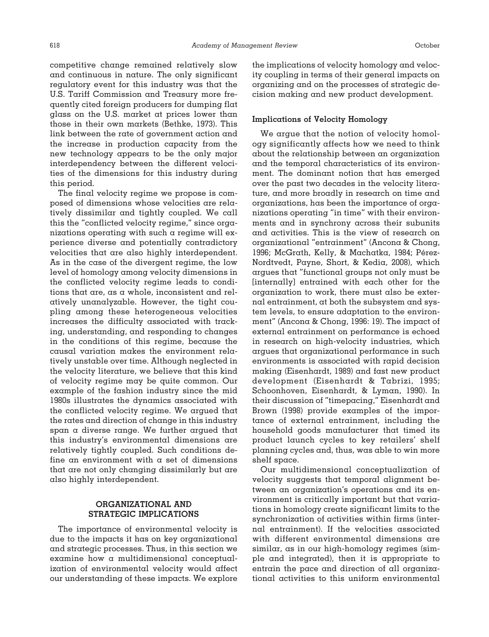competitive change remained relatively slow and continuous in nature. The only significant regulatory event for this industry was that the U.S. Tariff Commission and Treasury more frequently cited foreign producers for dumping flat glass on the U.S. market at prices lower than those in their own markets (Bethke, 1973). This link between the rate of government action and the increase in production capacity from the new technology appears to be the only major interdependency between the different velocities of the dimensions for this industry during this period.

The final velocity regime we propose is composed of dimensions whose velocities are relatively dissimilar and tightly coupled. We call this the "conflicted velocity regime," since organizations operating with such a regime will experience diverse and potentially contradictory velocities that are also highly interdependent. As in the case of the divergent regime, the low level of homology among velocity dimensions in the conflicted velocity regime leads to conditions that are, as a whole, inconsistent and relatively unanalyzable. However, the tight coupling among these heterogeneous velocities increases the difficulty associated with tracking, understanding, and responding to changes in the conditions of this regime, because the causal variation makes the environment relatively unstable over time. Although neglected in the velocity literature, we believe that this kind of velocity regime may be quite common. Our example of the fashion industry since the mid 1980s illustrates the dynamics associated with the conflicted velocity regime. We argued that the rates and direction of change in this industry span a diverse range. We further argued that this industry's environmental dimensions are relatively tightly coupled. Such conditions define an environment with  $\alpha$  set of dimensions that are not only changing dissimilarly but are also highly interdependent.

# **ORGANIZATIONAL AND STRATEGIC IMPLICATIONS**

The importance of environmental velocity is due to the impacts it has on key organizational and strategic processes. Thus, in this section we examine how a multidimensional conceptualization of environmental velocity would affect our understanding of these impacts. We explore the implications of velocity homology and velocity coupling in terms of their general impacts on organizing and on the processes of strategic decision making and new product development.

## **Implications of Velocity Homology**

We argue that the notion of velocity homology significantly affects how we need to think about the relationship between an organization and the temporal characteristics of its environment. The dominant notion that has emerged over the past two decades in the velocity literature, and more broadly in research on time and organizations, has been the importance of organizations operating "in time" with their environments and in synchrony across their subunits and activities. This is the view of research on organizational "entrainment" (Ancona & Chong, 1996; McGrath, Kelly, & Machatka, 1984; Pérez-Nordtvedt, Payne, Short, & Kedia, 2008), which argues that "functional groups not only must be [internally] entrained with each other for the organization to work, there must also be external entrainment, at both the subsystem and system levels, to ensure adaptation to the environment" (Ancona & Chong, 1996: 19). The impact of external entrainment on performance is echoed in research on high-velocity industries, which argues that organizational performance in such environments is associated with rapid decision making (Eisenhardt, 1989) and fast new product development (Eisenhardt & Tabrizi, 1995; Schoonhoven, Eisenhardt, & Lyman, 1990). In their discussion of "timepacing," Eisenhardt and Brown (1998) provide examples of the importance of external entrainment, including the household goods manufacturer that timed its product launch cycles to key retailers' shelf planning cycles and, thus, was able to win more shelf space.

Our multidimensional conceptualization of velocity suggests that temporal alignment between an organization's operations and its environment is critically important but that variations in homology create significant limits to the synchronization of activities within firms (internal entrainment). If the velocities associated with different environmental dimensions are similar, as in our high-homology regimes (simple and integrated), then it is appropriate to entrain the pace and direction of all organizational activities to this uniform environmental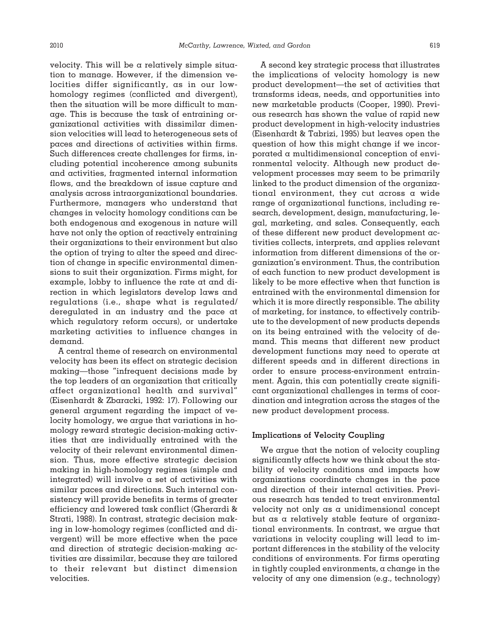velocity. This will be a relatively simple situation to manage. However, if the dimension velocities differ significantly, as in our lowhomology regimes (conflicted and divergent), then the situation will be more difficult to manage. This is because the task of entraining organizational activities with dissimilar dimension velocities will lead to heterogeneous sets of paces and directions of activities within firms. Such differences create challenges for firms, including potential incoherence among subunits and activities, fragmented internal information flows, and the breakdown of issue capture and analysis across intraorganizational boundaries. Furthermore, managers who understand that changes in velocity homology conditions can be both endogenous and exogenous in nature will have not only the option of reactively entraining their organizations to their environment but also the option of trying to alter the speed and direction of change in specific environmental dimensions to suit their organization. Firms might, for example, lobby to influence the rate at and direction in which legislators develop laws and regulations (i.e., shape what is regulated/ deregulated in an industry and the pace at which regulatory reform occurs), or undertake marketing activities to influence changes in demand.

A central theme of research on environmental velocity has been its effect on strategic decision making—those "infrequent decisions made by the top leaders of an organization that critically affect organizational health and survival" (Eisenhardt & Zbaracki, 1992: 17). Following our general argument regarding the impact of velocity homology, we argue that variations in homology reward strategic decision-making activities that are individually entrained with the velocity of their relevant environmental dimension. Thus, more effective strategic decision making in high-homology regimes (simple and integrated) will involve a set of activities with similar paces and directions. Such internal consistency will provide benefits in terms of greater efficiency and lowered task conflict (Gherardi & Strati, 1988). In contrast, strategic decision making in low-homology regimes (conflicted and divergent) will be more effective when the pace and direction of strategic decision-making activities are dissimilar, because they are tailored to their relevant but distinct dimension velocities.

A second key strategic process that illustrates the implications of velocity homology is new product development—the set of activities that transforms ideas, needs, and opportunities into new marketable products (Cooper, 1990). Previous research has shown the value of rapid new product development in high-velocity industries (Eisenhardt & Tabrizi, 1995) but leaves open the question of how this might change if we incorporated a multidimensional conception of environmental velocity. Although new product development processes may seem to be primarily linked to the product dimension of the organizational environment, they cut across a wide range of organizational functions, including research, development, design, manufacturing, legal, marketing, and sales. Consequently, each of these different new product development activities collects, interprets, and applies relevant information from different dimensions of the organization's environment. Thus, the contribution of each function to new product development is likely to be more effective when that function is entrained with the environmental dimension for which it is more directly responsible. The ability of marketing, for instance, to effectively contribute to the development of new products depends on its being entrained with the velocity of demand. This means that different new product development functions may need to operate at different speeds and in different directions in order to ensure process-environment entrainment. Again, this can potentially create significant organizational challenges in terms of coordination and integration across the stages of the new product development process.

## **Implications of Velocity Coupling**

We argue that the notion of velocity coupling significantly affects how we think about the stability of velocity conditions and impacts how organizations coordinate changes in the pace and direction of their internal activities. Previous research has tended to treat environmental velocity not only as a unidimensional concept but as a relatively stable feature of organizational environments. In contrast, we argue that variations in velocity coupling will lead to important differences in the stability of the velocity conditions of environments. For firms operating in tightly coupled environments, a change in the velocity of any one dimension (e.g., technology)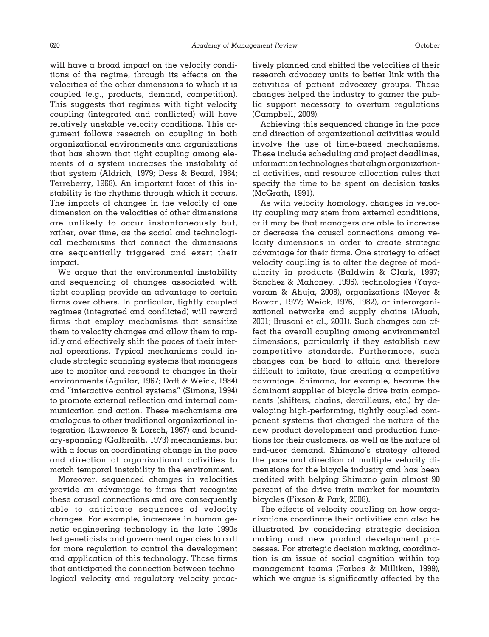will have a broad impact on the velocity conditions of the regime, through its effects on the velocities of the other dimensions to which it is coupled (e.g., products, demand, competition). This suggests that regimes with tight velocity coupling (integrated and conflicted) will have relatively unstable velocity conditions. This argument follows research on coupling in both organizational environments and organizations that has shown that tight coupling among elements of a system increases the instability of that system (Aldrich, 1979; Dess & Beard, 1984; Terreberry, 1968). An important facet of this instability is the rhythms through which it occurs. The impacts of changes in the velocity of one dimension on the velocities of other dimensions are unlikely to occur instantaneously but, rather, over time, as the social and technological mechanisms that connect the dimensions are sequentially triggered and exert their impact.

We argue that the environmental instability and sequencing of changes associated with tight coupling provide an advantage to certain firms over others. In particular, tightly coupled regimes (integrated and conflicted) will reward firms that employ mechanisms that sensitize them to velocity changes and allow them to rapidly and effectively shift the paces of their internal operations. Typical mechanisms could include strategic scanning systems that managers use to monitor and respond to changes in their environments (Aguilar, 1967; Daft & Weick, 1984) and "interactive control systems" (Simons, 1994) to promote external reflection and internal communication and action. These mechanisms are analogous to other traditional organizational integration (Lawrence & Lorsch, 1967) and boundary-spanning (Galbraith, 1973) mechanisms, but with a focus on coordinating change in the pace and direction of organizational activities to match temporal instability in the environment.

Moreover, sequenced changes in velocities provide an advantage to firms that recognize these causal connections and are consequently able to anticipate sequences of velocity changes. For example, increases in human genetic engineering technology in the late 1990s led geneticists and government agencies to call for more regulation to control the development and application of this technology. Those firms that anticipated the connection between technological velocity and regulatory velocity proactively planned and shifted the velocities of their research advocacy units to better link with the activities of patient advocacy groups. These changes helped the industry to garner the public support necessary to overturn regulations (Campbell, 2009).

Achieving this sequenced change in the pace and direction of organizational activities would involve the use of time-based mechanisms. These include scheduling and project deadlines, information technologies that align organizational activities, and resource allocation rules that specify the time to be spent on decision tasks (McGrath, 1991).

As with velocity homology, changes in velocity coupling may stem from external conditions, or it may be that managers are able to increase or decrease the causal connections among velocity dimensions in order to create strategic advantage for their firms. One strategy to affect velocity coupling is to alter the degree of modularity in products (Baldwin & Clark, 1997; Sanchez & Mahoney, 1996), technologies (Yayavaram & Ahuja, 2008), organizations (Meyer & Rowan, 1977; Weick, 1976, 1982), or interorganizational networks and supply chains (Afuah, 2001; Brusoni et al., 2001). Such changes can affect the overall coupling among environmental dimensions, particularly if they establish new competitive standards. Furthermore, such changes can be hard to attain and therefore difficult to imitate, thus creating a competitive advantage. Shimano, for example, became the dominant supplier of bicycle drive train components (shifters, chains, derailleurs, etc.) by developing high-performing, tightly coupled component systems that changed the nature of the new product development and production functions for their customers, as well as the nature of end-user demand. Shimano's strategy altered the pace and direction of multiple velocity dimensions for the bicycle industry and has been credited with helping Shimano gain almost 90 percent of the drive train market for mountain bicycles (Fixson & Park, 2008).

The effects of velocity coupling on how organizations coordinate their activities can also be illustrated by considering strategic decision making and new product development processes. For strategic decision making, coordination is an issue of social cognition within top management teams (Forbes & Milliken, 1999), which we argue is significantly affected by the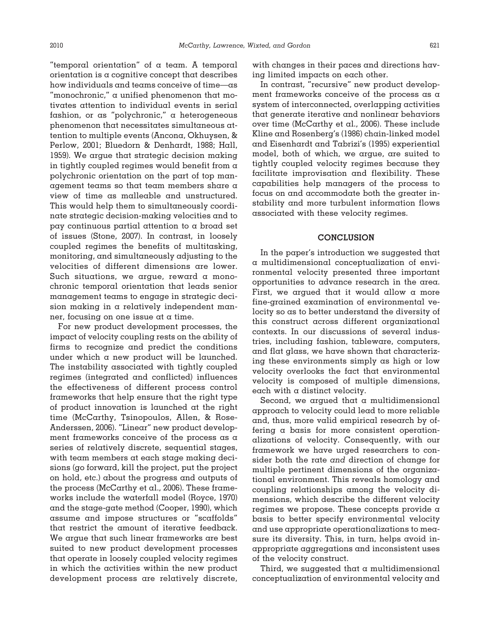"temporal orientation" of a team. A temporal orientation is a cognitive concept that describes how individuals and teams conceive of time—as "monochronic," a unified phenomenon that motivates attention to individual events in serial fashion, or as "polychronic," a heterogeneous phenomenon that necessitates simultaneous attention to multiple events (Ancona, Okhuysen, & Perlow, 2001; Bluedorn & Denhardt, 1988; Hall, 1959). We argue that strategic decision making in tightly coupled regimes would benefit from a polychronic orientation on the part of top management teams so that team members share a view of time as malleable and unstructured. This would help them to simultaneously coordinate strategic decision-making velocities and to pay continuous partial attention to a broad set of issues (Stone, 2007). In contrast, in loosely coupled regimes the benefits of multitasking, monitoring, and simultaneously adjusting to the velocities of different dimensions are lower. Such situations, we argue, reward a monochronic temporal orientation that leads senior management teams to engage in strategic decision making in a relatively independent manner, focusing on one issue at a time.

For new product development processes, the impact of velocity coupling rests on the ability of firms to recognize and predict the conditions under which a new product will be launched. The instability associated with tightly coupled regimes (integrated and conflicted) influences the effectiveness of different process control frameworks that help ensure that the right type of product innovation is launched at the right time (McCarthy, Tsinopoulos, Allen, & Rose-Anderssen, 2006). "Linear" new product development frameworks conceive of the process as a series of relatively discrete, sequential stages, with team members at each stage making decisions (go forward, kill the project, put the project on hold, etc.) about the progress and outputs of the process (McCarthy et al., 2006). These frameworks include the waterfall model (Royce, 1970) and the stage-gate method (Cooper, 1990), which assume and impose structures or "scaffolds" that restrict the amount of iterative feedback. We argue that such linear frameworks are best suited to new product development processes that operate in loosely coupled velocity regimes in which the activities within the new product development process are relatively discrete,

with changes in their paces and directions having limited impacts on each other.

In contrast, "recursive" new product development frameworks conceive of the process as a system of interconnected, overlapping activities that generate iterative and nonlinear behaviors over time (McCarthy et al., 2006). These include Kline and Rosenberg's (1986) chain-linked model and Eisenhardt and Tabrizi's (1995) experiential model, both of which, we argue, are suited to tightly coupled velocity regimes because they facilitate improvisation and flexibility. These capabilities help managers of the process to focus on and accommodate both the greater instability and more turbulent information flows associated with these velocity regimes.

#### **CONCLUSION**

In the paper's introduction we suggested that a multidimensional conceptualization of environmental velocity presented three important opportunities to advance research in the area. First, we argued that it would allow a more fine-grained examination of environmental velocity so as to better understand the diversity of this construct across different organizational contexts. In our discussions of several industries, including fashion, tableware, computers, and flat glass, we have shown that characterizing these environments simply as high or low velocity overlooks the fact that environmental velocity is composed of multiple dimensions, each with a distinct velocity.

Second, we argued that a multidimensional approach to velocity could lead to more reliable and, thus, more valid empirical research by offering a basis for more consistent operationalizations of velocity. Consequently, with our framework we have urged researchers to consider both the rate *and* direction of change for multiple pertinent dimensions of the organizational environment. This reveals homology and coupling relationships among the velocity dimensions, which describe the different velocity regimes we propose. These concepts provide a basis to better specify environmental velocity and use appropriate operationalizations to measure its diversity. This, in turn, helps avoid inappropriate aggregations and inconsistent uses of the velocity construct.

Third, we suggested that a multidimensional conceptualization of environmental velocity and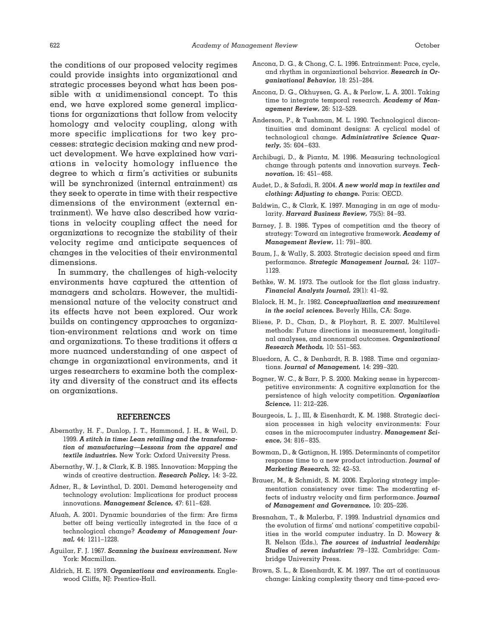the conditions of our proposed velocity regimes could provide insights into organizational and strategic processes beyond what has been possible with  $\alpha$  unidimensional concept. To this end, we have explored some general implications for organizations that follow from velocity homology and velocity coupling, along with more specific implications for two key processes: strategic decision making and new product development. We have explained how variations in velocity homology influence the degree to which a firm's activities or subunits will be synchronized (internal entrainment) as they seek to operate in time with their respective dimensions of the environment (external entrainment). We have also described how variations in velocity coupling affect the need for organizations to recognize the stability of their velocity regime and anticipate sequences of changes in the velocities of their environmental dimensions.

In summary, the challenges of high-velocity environments have captured the attention of managers and scholars. However, the multidimensional nature of the velocity construct and its effects have not been explored. Our work builds on contingency approaches to organization-environment relations and work on time and organizations. To these traditions it offers a more nuanced understanding of one aspect of change in organizational environments, and it urges researchers to examine both the complexity and diversity of the construct and its effects on organizations.

## **REFERENCES**

- Abernathy, H. F., Dunlop, J. T., Hammond, J. H., & Weil, D. 1999. *A stitch in time: Lean retailing and the transformation of manufacturing—Lessons from the apparel and textile industries.* New York: Oxford University Press.
- Abernathy, W. J., & Clark, K. B. 1985. Innovation: Mapping the winds of creative destruction. *Research Policy,* 14: 3–22.
- Adner, R., & Levinthal, D. 2001. Demand heterogeneity and technology evolution: Implications for product process innovations. *Management Science,* 47: 611–628.
- Afuah, A. 2001. Dynamic boundaries of the firm: Are firms better off being vertically integrated in the face of a technological change? *Academy of Management Journal,* 44: 1211–1228.
- Aguilar, F. J. 1967. *Scanning the business environment.* New York: Macmillan.
- Aldrich, H. E. 1979. *Organizations and environments.* Englewood Cliffs, NJ: Prentice-Hall.
- Ancona, D. G., & Chong, C. L. 1996. Entrainment: Pace, cycle, and rhythm in organizational behavior. *Research in Organizational Behavior,* 18: 251–284.
- Ancona, D. G., Okhuysen, G. A., & Perlow, L. A. 2001. Taking time to integrate temporal research. *Academy of Management Review,* 26: 512–529.
- Anderson, P., & Tushman, M. L. 1990. Technological discontinuities and dominant designs: A cyclical model of technological change. *Administrative Science Quarterly,* 35: 604–633.
- Archibugi, D., & Pianta, M. 1996. Measuring technological change through patents and innovation surveys. *Technovation,* 16: 451–468.
- Audet, D., & Safadi, R. 2004. *A new world map in textiles and clothing: Adjusting to change.* Paris: OECD.
- Baldwin, C., & Clark, K. 1997. Managing in an age of modularity. *Harvard Business Review,* 75(5): 84–93.
- Barney, J. B. 1986. Types of competition and the theory of strategy: Toward an integrative framework. *Academy of Management Review,* 11: 791–800.
- Baum, J., & Wally, S. 2003. Strategic decision speed and firm performance. *Strategic Management Journal,* 24: 1107– 1129.
- Bethke, W. M. 1973. The outlook for the flat glass industry. *Financial Analysts Journal,* 29(1): 41–92.
- Blalock, H. M., Jr. 1982. *Conceptualization and measurement in the social sciences.* Beverly Hills, CA: Sage.
- Bliese, P. D., Chan, D., & Ployhart, R. E. 2007. Multilevel methods: Future directions in measurement, longitudinal analyses, and nonnormal outcomes. *Organizational Research Methods,* 10: 551–563.
- Bluedorn, A. C., & Denhardt, R. B. 1988. Time and organizations. *Journal of Management,* 14: 299–320.
- Bogner, W. C., & Barr, P. S. 2000. Making sense in hypercompetitive environments: A cognitive explanation for the persistence of high velocity competition. *Organization Science,* 11: 212–226.
- Bourgeois, L. J., III, & Eisenhardt, K. M. 1988. Strategic decision processes in high velocity environments: Four cases in the microcomputer industry. *Management Science,* 34: 816–835.
- Bowman, D., & Gatignon, H. 1995. Determinants of competitor response time to a new product introduction. *Journal of Marketing Research,* 32: 42–53.
- Brauer, M., & Schmidt, S. M. 2006. Exploring strategy implementation consistency over time: The moderating effects of industry velocity and firm performance. *Journal of Management and Governance,* 10: 205–226.
- Bresnahan, T., & Malerba, F. 1999. Industrial dynamics and the evolution of firms' and nations' competitive capabilities in the world computer industry. In D. Mowery & R. Nelson (Eds.), *The sources of industrial leadership: Studies of seven industries:* 79–132. Cambridge: Cambridge University Press.
- Brown, S. L., & Eisenhardt, K. M. 1997. The art of continuous change: Linking complexity theory and time-paced evo-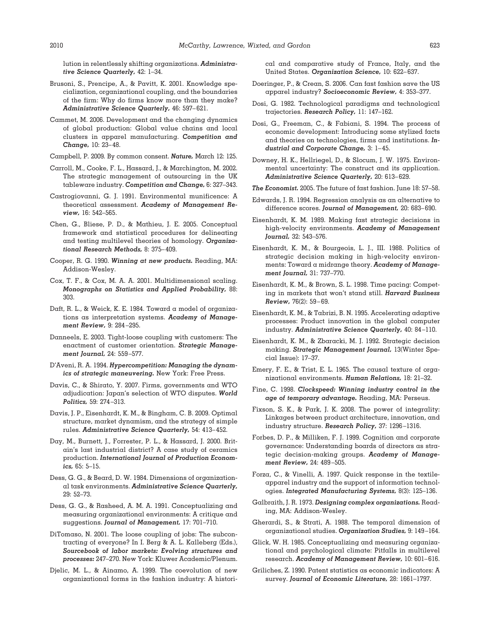lution in relentlessly shifting organizations. *Administrative Science Quarterly,* 42: 1–34.

- Brusoni, S., Prencipe, A., & Pavitt, K. 2001. Knowledge specialization, organizational coupling, and the boundaries of the firm: Why do firms know more than they make? *Administrative Science Quarterly,* 46: 597–621.
- Cammet, M. 2006. Development and the changing dynamics of global production: Global value chains and local clusters in apparel manufacturing. *Competition and Change,* 10: 23–48.
- Campbell, P. 2009. By common consent. *Nature,* March 12: 125.
- Carroll, M., Cooke, F. L., Hassard, J., & Marchington, M. 2002. The strategic management of outsourcing in the UK tableware industry. *Competition and Change,* 6: 327–343.
- Castrogiovanni, G. J. 1991. Environmental munificence: A theoretical assessment. *Academy of Management Review,* 16: 542–565.
- Chen, G., Bliese, P. D., & Mathieu, J. E. 2005. Conceptual framework and statistical procedures for delineating and testing multilevel theories of homology. *Organizational Research Methods,* 8: 375–409.
- Cooper, R. G. 1990. *Winning at new products.* Reading, MA: Addison-Wesley.
- Cox, T. F., & Cox, M. A. A. 2001. Multidimensional scaling. *Monographs on Statistics and Applied Probability,* 88: 303.
- Daft, R. L., & Weick, K. E. 1984. Toward a model of organizations as interpretation systems. *Academy of Management Review,* 9: 284–295.
- Danneels, E. 2003. Tight-loose coupling with customers: The enactment of customer orientation. *Strategic Management Journal,* 24: 559–577.
- D'Aveni, R. A. 1994. *Hypercompetition: Managing the dynamics of strategic maneuvering.* New York: Free Press.
- Davis, C., & Shirato, Y. 2007. Firms, governments and WTO adjudication: Japan's selection of WTO disputes. *World Politics,* 59: 274–313.
- Davis, J. P., Eisenhardt, K. M., & Bingham, C. B. 2009. Optimal structure, market dynamism, and the strategy of simple rules. *Administrative Science Quarterly,* 54: 413–452.
- Day, M., Burnett, J., Forrester, P. L., & Hassard, J. 2000. Britain's last industrial district? A case study of ceramics production. *International Journal of Production Economics,* 65: 5–15.
- Dess, G. G., & Beard, D. W. 1984. Dimensions of organizational task environments. *Administrative Science Quarterly,* 29: 52–73.
- Dess, G. G., & Rasheed, A. M. A. 1991. Conceptualizing and measuring organizational environments: A critique and suggestions. *Journal of Management,* 17: 701–710.
- DiTomaso, N. 2001. The loose coupling of jobs: The subcontracting of everyone? In I. Berg & A. L. Kalleberg (Eds.), *Sourcebook of labor markets: Evolving structures and processes:* 247–270. New York: Kluwer Academic/Plenum.
- Djelic, M. L., & Ainamo, A. 1999. The coevolution of new organizational forms in the fashion industry: A histori-

cal and comparative study of France, Italy, and the United States. *Organization Science,* 10: 622–637.

- Doeringer, P., & Crean, S. 2006. Can fast fashion save the US apparel industry? *Socioeconomic Review,* 4: 353–377.
- Dosi, G. 1982. Technological paradigms and technological trajectories. *Research Policy,* 11: 147–162.
- Dosi, G., Freeman, C., & Fabiani, S. 1994. The process of economic development: Introducing some stylized facts and theories on technologies, firms and institutions. *Industrial and Corporate Change,* 3: 1–45.
- Downey, H. K., Hellriegel, D., & Slocum, J. W. 1975. Environmental uncertainty: The construct and its application. *Administrative Science Quarterly,* 20: 613–629.
- *The Economist.* 2005. The future of fast fashion. June 18: 57–58.
- Edwards, J. R. 1994. Regression analysis as an alternative to difference scores. *Journal of Management,* 20: 683–690.
- Eisenhardt, K. M. 1989. Making fast strategic decisions in high-velocity environments. *Academy of Management Journal,* 32: 543–576.
- Eisenhardt, K. M., & Bourgeois, L. J., III. 1988. Politics of strategic decision making in high-velocity environments: Toward a midrange theory. *Academy of Management Journal,* 31: 737–770.
- Eisenhardt, K. M., & Brown, S. L. 1998. Time pacing: Competing in markets that won't stand still. *Harvard Business Review,* 76(2): 59–69.
- Eisenhardt, K. M., & Tabrizi, B. N. 1995. Accelerating adaptive processes: Product innovation in the global computer industry. *Administrative Science Quarterly,* 40: 84–110.
- Eisenhardt, K. M., & Zbaracki, M. J. 1992. Strategic decision making. *Strategic Management Journal,* 13(Winter Special Issue): 17–37.
- Emery, F. E., & Trist, E. L. 1965. The causal texture of organizational environments. *Human Relations,* 18: 21–32.
- Fine, C. 1998. *Clockspeed: Winning industry control in the age of temporary advantage.* Reading, MA: Perseus.
- Fixson, S. K., & Park, J. K. 2008. The power of integrality: Linkages between product architecture, innovation, and industry structure. *Research Policy,* 37: 1296–1316.
- Forbes, D. P., & Milliken, F. J. 1999. Cognition and corporate governance: Understanding boards of directors as strategic decision-making groups. *Academy of Management Review,* 24: 489–505.
- Forza, C., & Vinelli, A. 1997. Quick response in the textileapparel industry and the support of information technologies. *Integrated Manufacturing Systems,* 8(3): 125–136.
- Galbraith, J. R. 1973. *Designing complex organizations.* Reading, MA: Addison-Wesley.
- Gherardi, S., & Strati, A. 1988. The temporal dimension of organizational studies. *Organization Studies,* 9: 149–164.
- Glick, W. H. 1985. Conceptualizing and measuring organizational and psychological climate: Pitfalls in multilevel research. *Academy of Management Review,* 10: 601–616.
- Griliches, Z. 1990. Patent statistics as economic indicators: A survey. *Journal of Economic Literature,* 28: 1661–1797.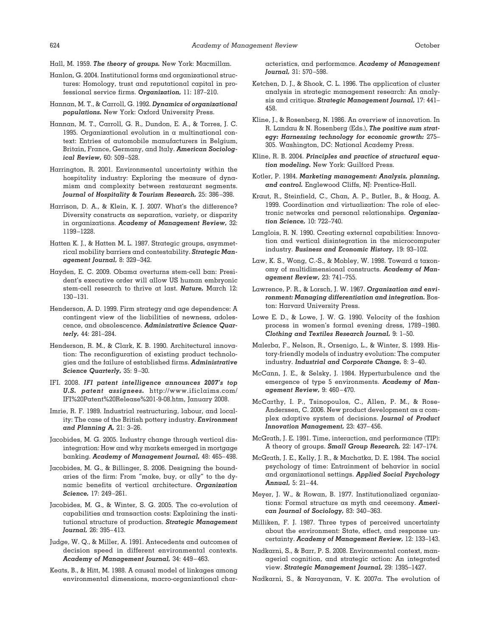- Hall, M. 1959. *The theory of groups.* New York: Macmillan.
- Hanlon, G. 2004. Institutional forms and organizational structures: Homology, trust and reputational capital in professional service firms. *Organization,* 11: 187–210.
- Hannan, M. T., & Carroll, G. 1992. *Dynamics of organizational populations.* New York: Oxford University Press.
- Hannan, M. T., Carroll, G. R., Dundon, E. A., & Torres, J. C. 1995. Organizational evolution in a multinational context: Entries of automobile manufacturers in Belgium, Britain, France, Germany, and Italy. *American Sociological Review,* 60: 509–528.
- Harrington, R. 2001. Environmental uncertainty within the hospitality industry: Exploring the measure of dynamism and complexity between restaurant segments. *Journal of Hospitality & Tourism Research,* 25: 386–398.
- Harrison, D. A., & Klein, K. J. 2007. What's the difference? Diversity constructs as separation, variety, or disparity in organizations. *Academy of Management Review,* 32: 1199–1228.
- Hatten K. J., & Hatten M. L. 1987. Strategic groups, asymmetrical mobility barriers and contestability. *Strategic Management Journal,* 8: 329–342.
- Hayden, E. C. 2009. Obama overturns stem-cell ban: President's executive order will allow US human embryonic stem-cell research to thrive at last. *Nature,* March 12: 130–131.
- Henderson, A. D. 1999. Firm strategy and age dependence: A contingent view of the liabilities of newness, adolescence, and obsolescence. *Administrative Science Quarterly,* 44: 281–284.
- Henderson, R. M., & Clark, K. B. 1990. Architectural innovation: The reconfiguration of existing product technologies and the failure of established firms. *Administrative Science Quarterly,* 35: 9–30.
- IFI. 2008. *IFI patent intelligence announces 2007's top U.S. patent assignees.* http://www.ificlaims.com/ IFI%20Patent%20Release%201-9-08.htm, January 2008.
- Imrie, R. F. 1989. Industrial restructuring, labour, and locality: The case of the British pottery industry. *Environment and Planning A,* 21: 3–26.
- Jacobides, M. G. 2005. Industry change through vertical disintegration: How and why markets emerged in mortgage banking. *Academy of Management Journal,* 48: 465–498.
- Jacobides, M. G., & Billinger, S. 2006. Designing the boundaries of the firm: From "make, buy, or ally" to the dynamic benefits of vertical architecture. *Organization Science,* 17: 249–261.
- Jacobides, M. G., & Winter, S. G. 2005. The co-evolution of capabilities and transaction costs: Explaining the institutional structure of production. *Strategic Management Journal,* 26: 395–413.
- Judge, W. Q., & Miller, A. 1991. Antecedents and outcomes of decision speed in different environmental contexts. *Academy of Management Journal,* 34: 449–463.
- Keats, B., & Hitt, M. 1988. A causal model of linkages among environmental dimensions, macro-organizational char-

acteristics, and performance. *Academy of Management Journal,* 31: 570–598.

- Ketchen, D. J., & Shook, C. L. 1996. The application of cluster analysis in strategic management research: An analysis and critique. *Strategic Management Journal,* 17: 441– 458.
- Kline, J., & Rosenberg, N. 1986. An overview of innovation. In R. Landau & N. Rosenberg (Eds.), *The positive sum strategy: Harnessing technology for economic growth:* 275– 305. Washington, DC: National Academy Press.
- Kline, R. B. 2004. *Principles and practice of structural equation modeling.* New York: Guilford Press.
- Kotler, P. 1984. *Marketing management: Analysis, planning, and control.* Englewood Cliffs, NJ: Prentice-Hall.
- Kraut, R., Steinfield, C., Chan, A. P., Butler, B., & Hoag, A. 1999. Coordination and virtualization: The role of electronic networks and personal relationships. *Organization Science,* 10: 722–740.
- Langlois, R. N. 1990. Creating external capabilities: Innovation and vertical disintegration in the microcomputer industry. *Business and Economic History,* 19: 93–102.
- Law, K. S., Wong, C.-S., & Mobley, W. 1998. Toward a taxonomy of multidimensional constructs. *Academy of Management Review,* 23: 741–755.
- Lawrence, P. R., & Lorsch, J. W. 1967. *Organization and environment: Managing differentiation and integration.* Boston: Harvard University Press.
- Lowe E. D., & Lowe, J. W. G. 1990. Velocity of the fashion process in women's formal evening dress, 1789–1980. *Clothing and Textiles Research Journal,* 9: 1–50.
- Malerba, F., Nelson, R., Orsenigo, L., & Winter, S. 1999. History-friendly models of industry evolution: The computer industry. *Industrial and Corporate Change,* 8: 3–40.
- McCann, J. E., & Selsky, J. 1984. Hyperturbulence and the emergence of type 5 environments. *Academy of Management Review,* 9: 460–470.
- McCarthy, I. P., Tsinopoulos, C., Allen, P. M., & Rose-Anderssen, C. 2006. New product development as a complex adaptive system of decisions. *Journal of Product Innovation Management,* 23: 437–456.
- McGrath, J. E. 1991. Time, interaction, and performance (TIP): A theory of groups. *Small Group Research,* 22: 147–174.
- McGrath, J. E., Kelly, J. R., & Machatka, D. E. 1984. The social psychology of time: Entrainment of behavior in social and organizational settings. *Applied Social Psychology Annual,* 5: 21–44.
- Meyer, J. W., & Rowan, B. 1977. Institutionalized organizations: Formal structure as myth and ceremony. *American Journal of Sociology,* 83: 340–363.
- Milliken, F. J. 1987. Three types of perceived uncertainty about the environment: State, effect, and response uncertainty. *Academy of Management Review,* 12: 133–143.
- Nadkarni, S., & Barr, P. S. 2008. Environmental context, managerial cognition, and strategic action: An integrated view. *Strategic Management Journal,* 29: 1395–1427.
- Nadkarni, S., & Narayanan, V. K. 2007a. The evolution of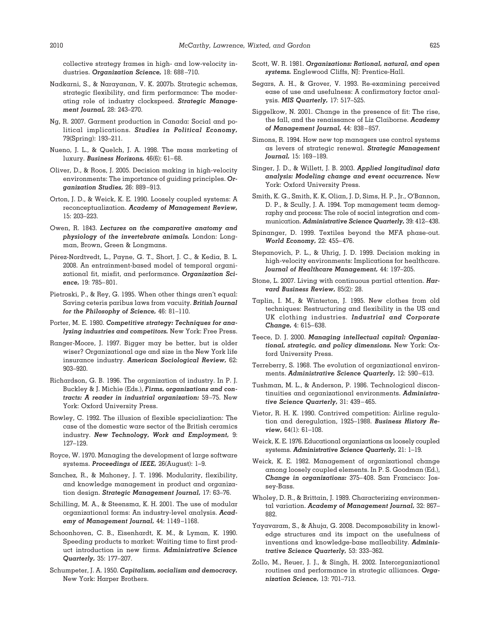collective strategy frames in high- and low-velocity industries. *Organization Science,* 18: 688–710.

- Nadkarni, S., & Narayanan, V. K. 2007b. Strategic schemas, strategic flexibility, and firm performance: The moderating role of industry clockspeed. *Strategic Management Journal,* 28: 243–270.
- Ng, R. 2007. Garment production in Canada: Social and political implications. *Studies in Political Economy,* 79(Spring): 193–211.
- Nueno, J. L., & Quelch, J. A. 1998. The mass marketing of luxury. *Business Horizons,* 46(6): 61–68.
- Oliver, D., & Roos, J. 2005. Decision making in high-velocity environments: The importance of guiding principles. *Organization Studies,* 26: 889–913.
- Orton, J. D., & Weick, K. E. 1990. Loosely coupled systems: A reconceptualization. *Academy of Management Review,* 15: 203–223.
- Owen, R. 1843. *Lectures on the comparative anatomy and physiology of the invertebrate animals.* London: Longman, Brown, Green & Longmans.
- Pérez-Nordtvedt, L., Payne, G. T., Short, J. C., & Kedia, B. L. 2008. An entrainment-based model of temporal organizational fit, misfit, and performance. *Organization Science,* 19: 785–801.
- Pietroski, P., & Rey, G. 1995. When other things aren't equal: Saving ceteris paribus laws from vacuity. *British Journal for the Philosophy of Science,* 46: 81–110.
- Porter, M. E. 1980. *Competitive strategy: Techniques for analyzing industries and competitors.* New York: Free Press.
- Ranger-Moore, J. 1997. Bigger may be better, but is older wiser? Organizational age and size in the New York life insurance industry. *American Sociological Review,* 62: 903–920.
- Richardson, G. B. 1996. The organization of industry. In P. J. Buckley & J. Michie (Eds.), *Firms, organizations and contracts: A reader in industrial organization:* 59–75. New York: Oxford University Press.
- Rowley, C. 1992. The illusion of flexible specialization: The case of the domestic ware sector of the British ceramics industry. *New Technology, Work and Employment,* 9: 127–129.
- Royce, W. 1970. Managing the development of large software systems. *Proceedings of IEEE,* 26(August): 1–9.
- Sanchez, R., & Mahoney, J. T. 1996. Modularity, flexibility, and knowledge management in product and organization design. *Strategic Management Journal,* 17: 63–76.
- Schilling, M. A., & Steensma, K. H. 2001. The use of modular organizational forms: An industry-level analysis. *Academy of Management Journal,* 44: 1149–1168.
- Schoonhoven, C. B., Eisenhardt, K. M., & Lyman, K. 1990. Speeding products to market: Waiting time to first product introduction in new firms. *Administrative Science Quarterly,* 35: 177–207.
- Schumpeter, J. A. 1950. *Capitalism, socialism and democracy.* New York: Harper Brothers.
- Scott, W. R. 1981. *Organizations: Rational, natural, and open systems.* Englewood Cliffs, NJ: Prentice-Hall.
- Segars, A. H., & Grover, V. 1993. Re-examining perceived ease of use and usefulness: A confirmatory factor analysis. *MIS Quarterly,* 17: 517–525.
- Siggelkow, N. 2001. Change in the presence of fit: The rise, the fall, and the renaissance of Liz Claiborne. *Academy of Management Journal,* 44: 838–857.
- Simons, R. 1994. How new top managers use control systems as levers of strategic renewal. *Strategic Management Journal,* 15: 169–189.
- Singer, J. D., & Willett, J. B. 2003. *Applied longitudinal data analysis: Modeling change and event occurrence.* New York: Oxford University Press.
- Smith, K. G., Smith, K. K, Olian, J. D, Sims, H. P., Jr., O'Bannon, D. P., & Scully, J. A. 1994. Top management team demography and process: The role of social integration and communication. *Administrative Science Quarterly,* 39: 412–438.
- Spinanger, D. 1999. Textiles beyond the MFA phase-out. *World Economy,* 22: 455–476.
- Stepanovich, P. L., & Uhrig, J. D. 1999. Decision making in high-velocity environments: Implications for healthcare. *Journal of Healthcare Management,* 44: 197–205.
- Stone, L. 2007. Living with continuous partial attention. *Harvard Business Review,* 85(2): 28.
- Taplin, I. M., & Winterton, J. 1995. New clothes from old techniques: Restructuring and flexibility in the US and UK clothing industries. *Industrial and Corporate Change,* 4: 615–638.
- Teece, D. J. 2000. *Managing intellectual capital: Organizational, strategic, and policy dimensions.* New York: Oxford University Press.
- Terreberry, S. 1968. The evolution of organizational environments. *Administrative Science Quarterly,* 12: 590–613.
- Tushman, M. L., & Anderson, P. 1986. Technological discontinuities and organizational environments. *Administrative Science Quarterly,* 31: 439–465.
- Vietor, R. H. K. 1990. Contrived competition: Airline regulation and deregulation, 1925–1988. *Business History Review,* 64(1): 61–108.
- Weick, K. E. 1976. Educational organizations as loosely coupled systems. *Administrative Science Quarterly,* 21: 1–19.
- Weick, K. E. 1982. Management of organizational change among loosely coupled elements. In P. S. Goodman (Ed.), *Change in organizations:* 375–408. San Francisco: Jossey-Bass.
- Wholey, D. R., & Brittain, J. 1989. Characterizing environmental variation. *Academy of Management Journal,* 32: 867– 882.
- Yayavaram, S., & Ahuja, G. 2008. Decomposability in knowledge structures and its impact on the usefulness of inventions and knowledge-base malleability. *Administrative Science Quarterly,* 53: 333–362.
- Zollo, M., Reuer, J. J., & Singh, H. 2002. Interorganizational routines and performance in strategic alliances. *Organization Science,* 13: 701–713.